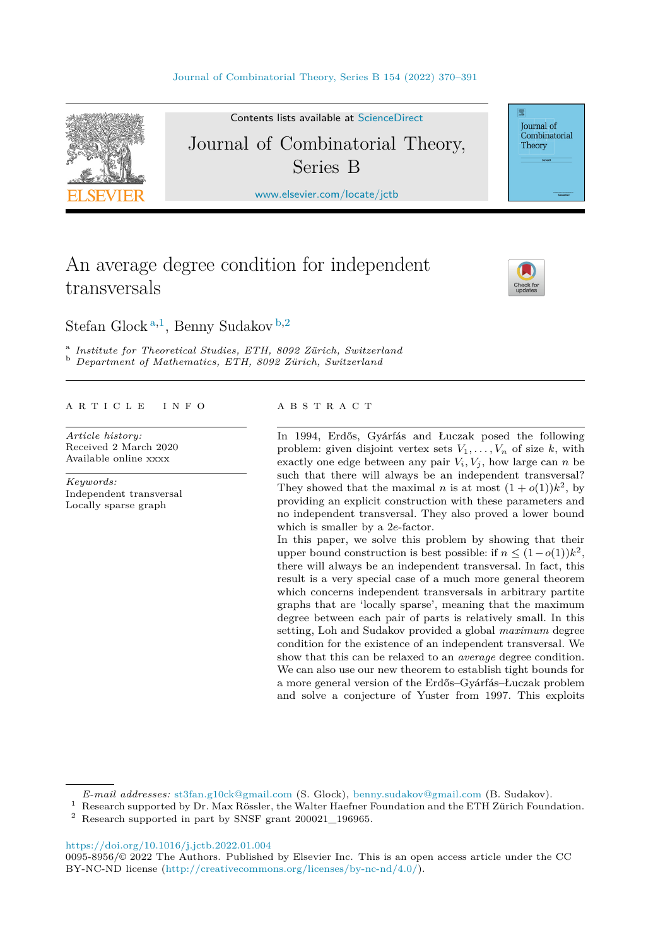

Contents lists available at [ScienceDirect](http://www.ScienceDirect.com/)

# Journal of Combinatorial Theory, Series B

[www.elsevier.com/locate/jctb](http://www.elsevier.com/locate/jctb)

# An average degree condition for independent transversals



Journal of Combinatorial Theory

Stefan Glock <sup>a</sup>*,*<sup>1</sup>, Benny Sudakov <sup>b</sup>*,*<sup>2</sup>

<sup>a</sup> Institute for Theoretical Studies, ETH, 8092 Zürich, Switzerland<br><sup>b</sup> Department of Mathematics, ETH, 8092 Zürich, Switzerland

#### A R T I C L E I N F O A B S T R A C T

*Article history:* Received 2 March 2020 Available online xxxx

*Keywords:* Independent transversal Locally sparse graph

In 1994, Erdős, Gyárfás and Łuczak posed the following problem: given disjoint vertex sets  $V_1, \ldots, V_n$  of size  $k$ , with exactly one edge between any pair  $V_i$ ,  $V_j$ , how large can *n* be such that there will always be an independent transversal? They showed that the maximal *n* is at most  $(1 + o(1))k^2$ , by providing an explicit construction with these parameters and no independent transversal. They also proved a lower bound which is smaller by a 2*e*-factor.

In this paper, we solve this problem by showing that their upper bound construction is best possible: if  $n \leq (1 - o(1))k^2$ , there will always be an independent transversal. In fact, this result is a very special case of a much more general theorem which concerns independent transversals in arbitrary partite graphs that are 'locally sparse', meaning that the maximum degree between each pair of parts is relatively small. In this setting, Loh and Sudakov provided a global *maximum* degree condition for the existence of an independent transversal. We show that this can be relaxed to an *average* degree condition. We can also use our new theorem to establish tight bounds for a more general version of the Erdős–Gyárfás–Łuczak problem and solve a conjecture of Yuster from 1997. This exploits

*E-mail addresses:* [st3fan.g10ck@gmail.com](mailto:st3fan.g10ck@gmail.com) (S. Glock), [benny.sudakov@gmail.com](mailto:benny.sudakov@gmail.com) (B. Sudakov).

<sup>1</sup> Research supported by Dr. Max Rössler, the Walter Haefner Foundation and the ETH Zürich Foundation.

<sup>2</sup> Research supported in part by SNSF grant 200021\_196965.

<https://doi.org/10.1016/j.jctb.2022.01.004>

0095-8956/© 2022 The Authors. Published by Elsevier Inc. This is an open access article under the CC BY-NC-ND license [\(http://creativecommons.org/licenses/by-nc-nd/4.0/](http://creativecommons.org/licenses/by-nc-nd/4.0/)).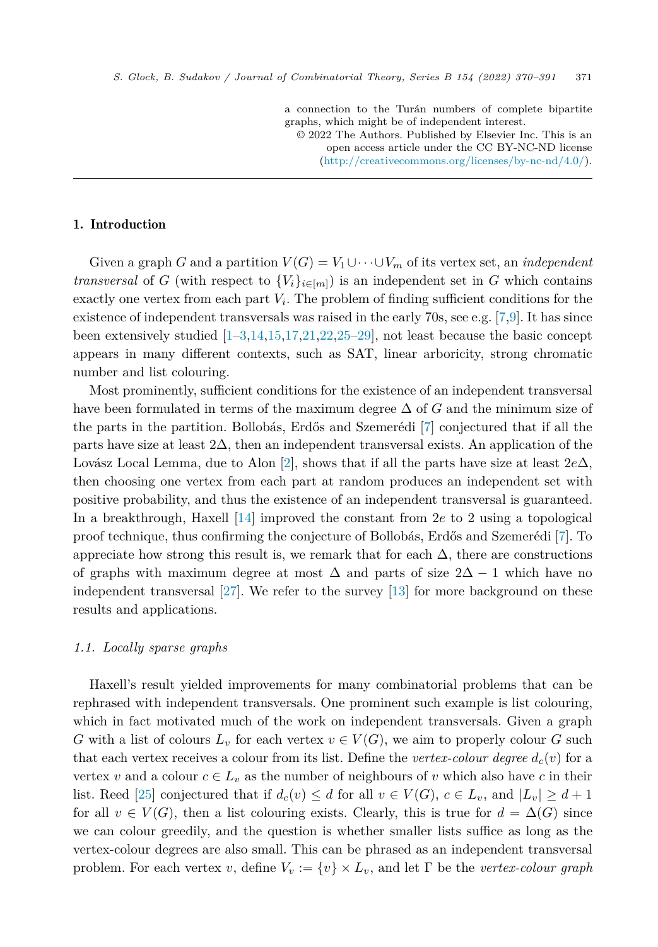a connection to the Turán numbers of complete bipartite graphs, which might be of independent interest.

© 2022 The Authors. Published by Elsevier Inc. This is an open access article under the CC BY-NC-ND license [\(http://creativecommons.org/licenses/by-nc-nd/4.0/](http://creativecommons.org/licenses/by-nc-nd/4.0/)).

# 1. Introduction

Given a graph *G* and a partition  $V(G) = V_1 \cup \cdots \cup V_m$  of its vertex set, an *independent transversal* of *G* (with respect to  ${V_i}_{i \in [m]}$ ) is an independent set in *G* which contains exactly one vertex from each part *Vi*. The problem of finding sufficient conditions for the existence of independent transversals was raised in the early 70s, see e.g. [\[7](#page-21-0),[9\]](#page-21-0). It has since been extensively studied  $[1-3,14,15,17,21,22,25-29]$  $[1-3,14,15,17,21,22,25-29]$  $[1-3,14,15,17,21,22,25-29]$ , not least because the basic concept appears in many different contexts, such as SAT, linear arboricity, strong chromatic number and list colouring.

Most prominently, sufficient conditions for the existence of an independent transversal have been formulated in terms of the maximum degree Δ of *G* and the minimum size of the parts in the partition. Bollobás, Erdős and Szemerédi [[7\]](#page-21-0) conjectured that if all the parts have size at least  $2\Delta$ , then an independent transversal exists. An application of the Lovász Local Lemma, due to Alon [[2\]](#page-20-0), shows that if all the parts have size at least 2*e*Δ, then choosing one vertex from each part at random produces an independent set with positive probability, and thus the existence of an independent transversal is guaranteed. In a breakthrough, Haxell [[14\]](#page-21-0) improved the constant from 2*e* to 2 using a topological proof technique, thus confirming the conjecture of Bollobás, Erdős and Szemerédi [\[7](#page-21-0)]. To appreciate how strong this result is, we remark that for each  $\Delta$ , there are constructions of graphs with maximum degree at most  $\Delta$  and parts of size  $2\Delta - 1$  which have no independent transversal [[27\]](#page-21-0). We refer to the survey [\[13](#page-21-0)] for more background on these results and applications.

## *1.1. Locally sparse graphs*

Haxell's result yielded improvements for many combinatorial problems that can be rephrased with independent transversals. One prominent such example is list colouring, which in fact motivated much of the work on independent transversals. Given a graph *G* with a list of colours  $L_v$  for each vertex  $v \in V(G)$ , we aim to properly colour *G* such that each vertex receives a colour from its list. Define the *vertex-colour* degree  $d_c(v)$  for a vertex *v* and a colour  $c \in L_v$  as the number of neighbours of *v* which also have *c* in their list. Reed [\[25](#page-21-0)] conjectured that if  $d_c(v) \leq d$  for all  $v \in V(G)$ ,  $c \in L_v$ , and  $|L_v| \geq d+1$ for all  $v \in V(G)$ , then a list colouring exists. Clearly, this is true for  $d = \Delta(G)$  since we can colour greedily, and the question is whether smaller lists suffice as long as the vertex-colour degrees are also small. This can be phrased as an independent transversal problem. For each vertex *v*, define  $V_v := \{v\} \times L_v$ , and let  $\Gamma$  be the *vertex-colour graph*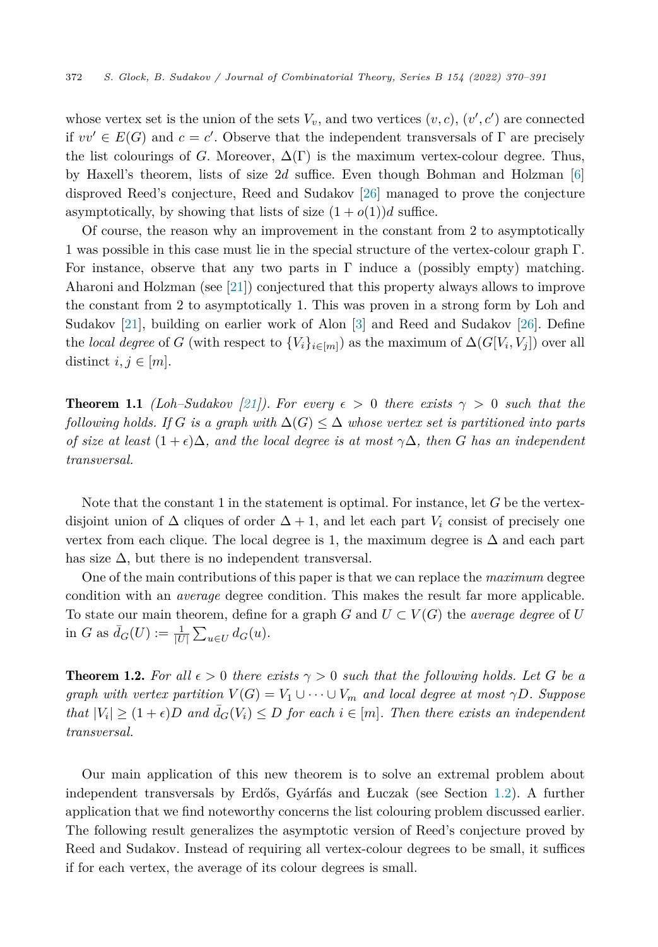<span id="page-2-0"></span>whose vertex set is the union of the sets  $V_v$ , and two vertices  $(v, c)$ ,  $(v', c')$  are connected if  $vv' \in E(G)$  and  $c = c'$ . Observe that the independent transversals of  $\Gamma$  are precisely the list colourings of *G*. Moreover,  $\Delta(\Gamma)$  is the maximum vertex-colour degree. Thus, by Haxell's theorem, lists of size 2*d* suffice. Even though Bohman and Holzman [[6\]](#page-21-0) disproved Reed's conjecture, Reed and Sudakov [\[26](#page-21-0)] managed to prove the conjecture asymptotically, by showing that lists of size  $(1 + o(1))d$  suffice.

Of course, the reason why an improvement in the constant from 2 to asymptotically 1 was possible in this case must lie in the special structure of the vertex-colour graph Γ. For instance, observe that any two parts in  $\Gamma$  induce a (possibly empty) matching. Aharoni and Holzman (see [\[21](#page-21-0)]) conjectured that this property always allows to improve the constant from 2 to asymptotically 1. This was proven in a strong form by Loh and Sudakov [\[21](#page-21-0)], building on earlier work of Alon [\[3\]](#page-20-0) and Reed and Sudakov [\[26](#page-21-0)]. Define the *local degree* of *G* (with respect to  ${V_i}_{i \in [m]}$ ) as the maximum of  $\Delta(G[V_i, V_j])$  over all distinct  $i, j \in [m]$ .

**Theorem 1.1** *(Loh–Sudakov [\[21\]](#page-21-0)).* For every  $\epsilon > 0$  there exists  $\gamma > 0$  such that the *following holds.* If *G is a graph with*  $\Delta(G) \leq \Delta$  *whose vertex set is partitioned into parts* of size at least  $(1+\epsilon)\Delta$ , and the local degree is at most  $\gamma\Delta$ , then G has an independent *transversal.*

Note that the constant 1 in the statement is optimal. For instance, let *G* be the vertexdisjoint union of  $\Delta$  cliques of order  $\Delta + 1$ , and let each part  $V_i$  consist of precisely one vertex from each clique. The local degree is 1, the maximum degree is  $\Delta$  and each part has size  $\Delta$ , but there is no independent transversal.

One of the main contributions of this paper is that we can replace the *maximum* degree condition with an *average* degree condition. This makes the result far more applicable. To state our main theorem, define for a graph *G* and  $U \subset V(G)$  the *average degree* of *U* in *G* as  $\bar{d}_G(U) := \frac{1}{|U|} \sum_{u \in U} d_G(u)$ .

**Theorem 1.2.** For all  $\epsilon > 0$  there exists  $\gamma > 0$  such that the following holds. Let G be a *graph with vertex partition*  $V(G) = V_1 \cup \cdots \cup V_m$  *and local degree at most*  $\gamma D$ *. Suppose* that  $|V_i| \ge (1 + \epsilon)D$  and  $\bar{d}_G(V_i) \le D$  for each  $i \in [m]$ . Then there exists an independent *transversal.*

Our main application of this new theorem is to solve an extremal problem about independent transversals by Erdős, Gyárfás and Łuczak (see Section [1.2](#page-3-0)). A further application that we find noteworthy concerns the list colouring problem discussed earlier. The following result generalizes the asymptotic version of Reed's conjecture proved by Reed and Sudakov. Instead of requiring all vertex-colour degrees to be small, it suffices if for each vertex, the average of its colour degrees is small.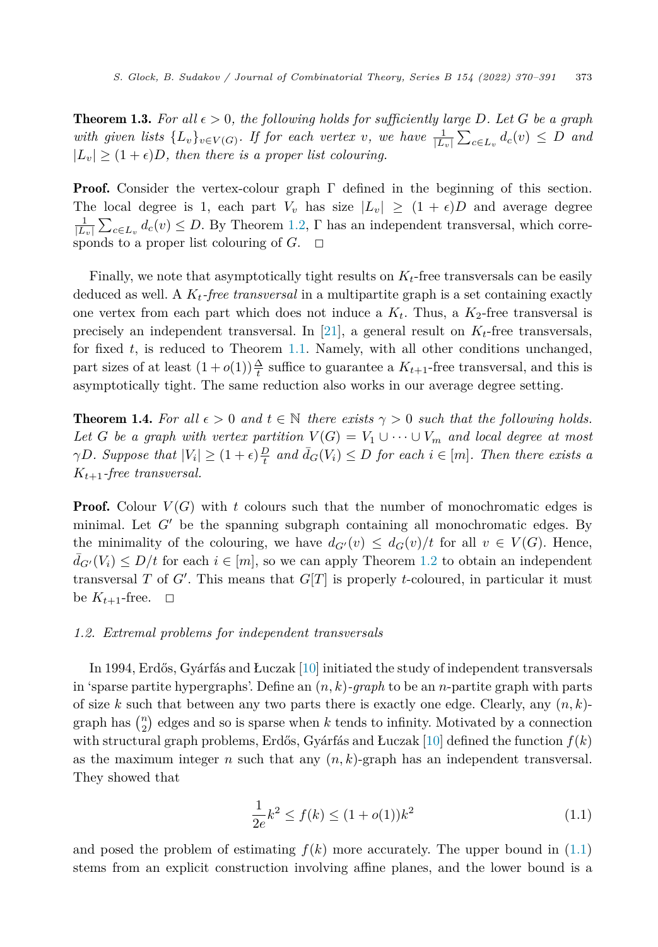<span id="page-3-0"></span>**Theorem 1.3.** For all  $\epsilon > 0$ , the following holds for sufficiently large D. Let G be a graph with given lists  $\{L_v\}_{v \in V(G)}$ . If for each vertex v, we have  $\frac{1}{|L_v|}\sum_{c \in L_v} d_c(v) \leq D$  and  $|L_v| \geq (1 + \epsilon)D$ , then there is a proper list colouring.

**Proof.** Consider the vertex-colour graph  $\Gamma$  defined in the beginning of this section. The local degree is 1, each part  $V_v$  has size  $|L_v| \geq (1 + \epsilon)D$  and average degree  $\frac{1}{|L_v|}\sum_{c \in L_v} d_c(v) \leq D$ . By Theorem [1.2,](#page-2-0) Γ has an independent transversal, which corresponds to a proper list colouring of *G*.  $\Box$ 

Finally, we note that asymptotically tight results on  $K_t$ -free transversals can be easily deduced as well. A *Kt-free transversal* in a multipartite graph is a set containing exactly one vertex from each part which does not induce a  $K_t$ . Thus, a  $K_2$ -free transversal is precisely an independent transversal. In [\[21](#page-21-0)], a general result on  $K_t$ -free transversals, for fixed *t*, is reduced to Theorem [1.1.](#page-2-0) Namely, with all other conditions unchanged, part sizes of at least  $(1+o(1))\frac{\Delta}{t}$  suffice to guarantee a  $K_{t+1}$ -free transversal, and this is asymptotically tight. The same reduction also works in our average degree setting.

**Theorem 1.4.** For all  $\epsilon > 0$  and  $t \in \mathbb{N}$  there exists  $\gamma > 0$  such that the following holds. *Let G be a graph with vertex partition*  $V(G) = V_1 \cup \cdots \cup V_m$  *and local degree at most*  $\gamma D$ . Suppose that  $|V_i| \geq (1+\epsilon)\frac{D}{t}$  and  $\bar{d}_G(V_i) \leq D$  for each  $i \in [m]$ . Then there exists a *K<sup>t</sup>*+1*-free transversal.*

**Proof.** Colour  $V(G)$  with t colours such that the number of monochromatic edges is minimal. Let  $G'$  be the spanning subgraph containing all monochromatic edges. By the minimality of the colouring, we have  $d_{G'}(v) \leq d_G(v)/t$  for all  $v \in V(G)$ . Hence,  $\bar{d}_{G'}(V_i) \leq D/t$  for each  $i \in [m]$ , so we can apply Theorem [1.2](#page-2-0) to obtain an independent transversal *T* of *G* . This means that *G*[*T*] is properly *t*-coloured, in particular it must be  $K_{t+1}$ -free.  $\Box$ 

#### *1.2. Extremal problems for independent transversals*

In 1994, Erdős, Gyárfás and Łuczak [\[10](#page-21-0)] initiated the study of independent transversals in 'sparse partite hypergraphs'. Define an (*n, k*)*-graph* to be an *n*-partite graph with parts of size  $k$  such that between any two parts there is exactly one edge. Clearly, any  $(n, k)$ graph has  $\binom{n}{2}$  edges and so is sparse when *k* tends to infinity. Motivated by a connection with structural graph problems, Erdős, Gyárfás and Łuczak [\[10\]](#page-21-0) defined the function *f*(*k*) as the maximum integer *n* such that any  $(n, k)$ -graph has an independent transversal. They showed that

$$
\frac{1}{2e}k^2 \le f(k) \le (1 + o(1))k^2 \tag{1.1}
$$

and posed the problem of estimating  $f(k)$  more accurately. The upper bound in  $(1.1)$ stems from an explicit construction involving affine planes, and the lower bound is a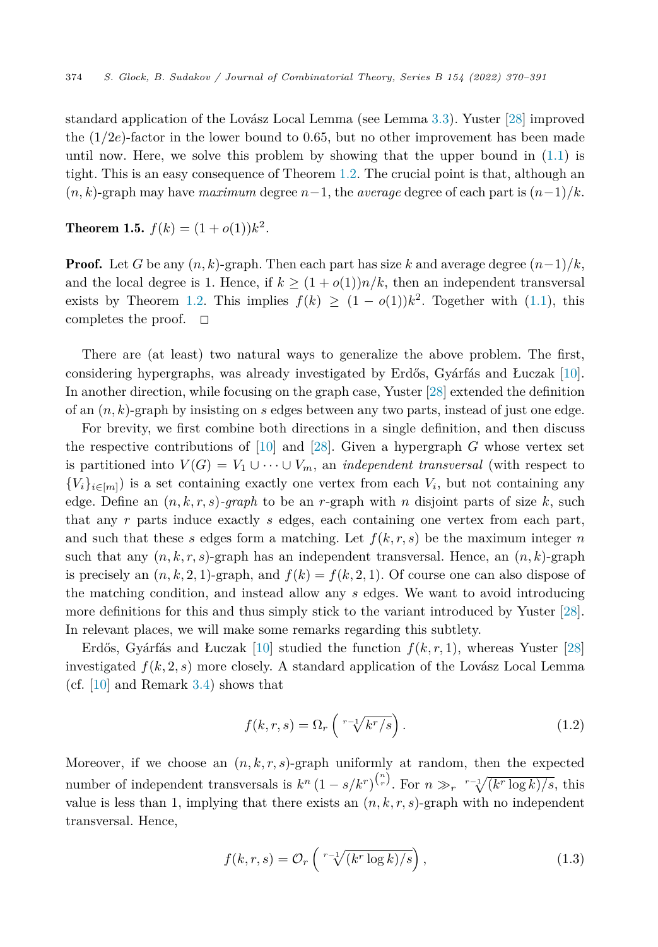<span id="page-4-0"></span>standard application of the Lovász Local Lemma (see Lemma [3.3](#page-10-0)). Yuster [\[28](#page-21-0)] improved the  $(1/2e)$ -factor in the lower bound to 0.65, but no other improvement has been made until now. Here, we solve this problem by showing that the upper bound in  $(1.1)$  $(1.1)$  is tight. This is an easy consequence of Theorem [1.2](#page-2-0). The crucial point is that, although an  $(n, k)$ -graph may have *maximum* degree  $n-1$ , the *average* degree of each part is  $(n-1)/k$ .

**Theorem 1.5.**  $f(k) = (1 + o(1))k^2$ .

**Proof.** Let *G* be any  $(n, k)$ -graph. Then each part has size *k* and average degree  $(n-1)/k$ , and the local degree is 1. Hence, if  $k \geq (1 + o(1))n/k$ , then an independent transversal exists by Theorem [1.2](#page-2-0). This implies  $f(k) \geq (1 - o(1))k^2$ . Together with ([1.1\)](#page-3-0), this completes the proof.  $\Box$ 

There are (at least) two natural ways to generalize the above problem. The first, considering hypergraphs, was already investigated by Erdős, Gyárfás and Łuczak [[10\]](#page-21-0). In another direction, while focusing on the graph case, Yuster [[28\]](#page-21-0) extended the definition of an (*n, k*)-graph by insisting on *s* edges between any two parts, instead of just one edge.

For brevity, we first combine both directions in a single definition, and then discuss the respective contributions of [\[10\]](#page-21-0) and [[28\]](#page-21-0). Given a hypergraph *G* whose vertex set is partitioned into  $V(G) = V_1 \cup \cdots \cup V_m$ , an *independent transversal* (with respect to  ${V_i}_{i \in [m]}$ ) is a set containing exactly one vertex from each  $V_i$ , but not containing any edge. Define an  $(n, k, r, s)$ -graph to be an *r*-graph with *n* disjoint parts of size *k*, such that any *r* parts induce exactly *s* edges, each containing one vertex from each part, and such that these *s* edges form a matching. Let  $f(k, r, s)$  be the maximum integer *n* such that any  $(n, k, r, s)$ -graph has an independent transversal. Hence, an  $(n, k)$ -graph is precisely an  $(n, k, 2, 1)$ -graph, and  $f(k) = f(k, 2, 1)$ . Of course one can also dispose of the matching condition, and instead allow any *s* edges. We want to avoid introducing more definitions for this and thus simply stick to the variant introduced by Yuster [[28\]](#page-21-0). In relevant places, we will make some remarks regarding this subtlety.

Erdős, Gyárfás and Łuczak  $[10]$  $[10]$  studied the function  $f(k, r, 1)$ , whereas Yuster  $[28]$  $[28]$ investigated  $f(k, 2, s)$  more closely. A standard application of the Lovász Local Lemma (cf.  $[10]$  $[10]$  and Remark [3.4](#page-10-0)) shows that

$$
f(k,r,s) = \Omega_r \left( \sqrt[r-1]{k^r/s} \right). \tag{1.2}
$$

Moreover, if we choose an  $(n, k, r, s)$ -graph uniformly at random, then the expected number of independent transversals is  $k^n (1 - s/k^r)^{\binom{n}{r}}$ . For  $n \gg_r \sqrt[r-1]{(k^r \log k)/s}$ , this value is less than 1, implying that there exists an  $(n, k, r, s)$ -graph with no independent transversal. Hence,

$$
f(k,r,s) = \mathcal{O}_r\left(\sqrt[r-1]{(k^r \log k)/s}\right),\tag{1.3}
$$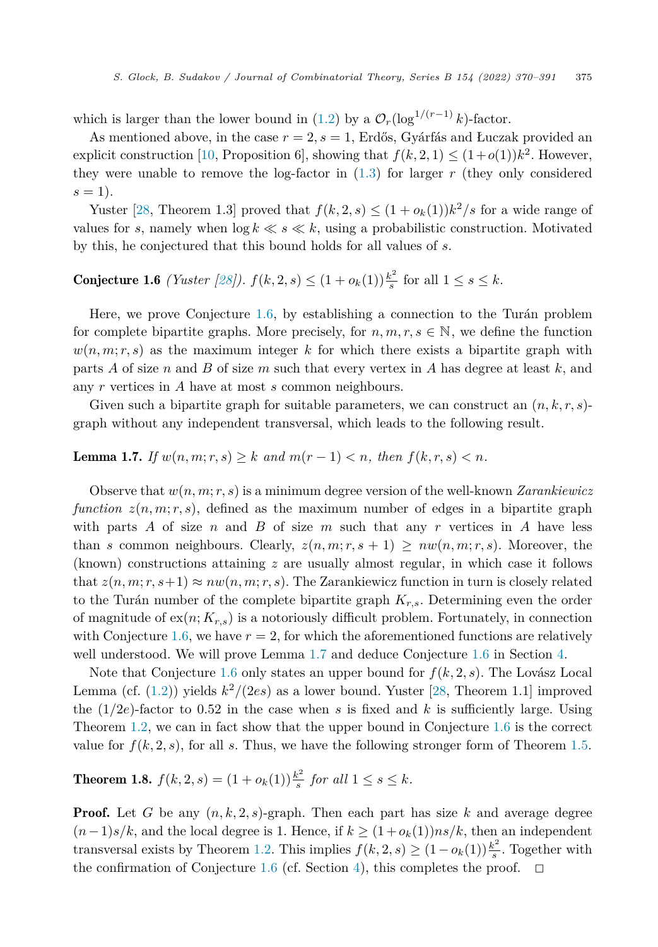<span id="page-5-0"></span>which is larger than the lower bound in [\(1.2](#page-4-0)) by a  $\mathcal{O}_r(\log^{1/(r-1)} k)$ -factor.

As mentioned above, in the case  $r = 2$ ,  $s = 1$ , Erdős, Gyárfás and Łuczak provided an explicit construction [[10,](#page-21-0) Proposition 6], showing that  $f(k, 2, 1) \leq (1+o(1))k^2$ . However, they were unable to remove the log-factor in ([1.3\)](#page-4-0) for larger *r* (they only considered  $s = 1$ .

Yuster [[28,](#page-21-0) Theorem 1.3] proved that  $f(k, 2, s) \leq (1 + o_k(1))k^2/s$  for a wide range of values for *s*, namely when  $\log k \ll s \ll k$ , using a probabilistic construction. Motivated by this, he conjectured that this bound holds for all values of *s*.

**Conjecture 1.6** *(Yuster [\[28](#page-21-0)]).*  $f(k, 2, s) \leq (1 + o_k(1)) \frac{k^2}{s}$  for all  $1 \leq s \leq k$ .

Here, we prove Conjecture 1.6, by establishing a connection to the Turán problem for complete bipartite graphs. More precisely, for  $n, m, r, s \in \mathbb{N}$ , we define the function  $w(n, m; r, s)$  as the maximum integer k for which there exists a bipartite graph with parts *A* of size *n* and *B* of size *m* such that every vertex in *A* has degree at least *k*, and any *r* vertices in *A* have at most *s* common neighbours.

Given such a bipartite graph for suitable parameters, we can construct an  $(n, k, r, s)$ graph without any independent transversal, which leads to the following result.

**Lemma 1.7.** *If*  $w(n, m; r, s) \geq k$  *and*  $m(r - 1) < n$ *, then*  $f(k, r, s) < n$ *.* 

Observe that *w*(*n, m*; *r, s*) is a minimum degree version of the well-known *Zarankiewicz function*  $z(n, m; r, s)$ , defined as the maximum number of edges in a bipartite graph with parts *A* of size *n* and *B* of size *m* such that any *r* vertices in *A* have less than *s* common neighbours. Clearly,  $z(n, m; r, s + 1) \geq nw(n, m; r, s)$ . Moreover, the (known) constructions attaining *z* are usually almost regular, in which case it follows that  $z(n, m; r, s+1) \approx nw(n, m; r, s)$ . The Zarankiewicz function in turn is closely related to the Turán number of the complete bipartite graph *Kr,s*. Determining even the order of magnitude of  $ex(n; K_{r,s})$  is a notoriously difficult problem. Fortunately, in connection with Conjecture 1.6, we have  $r = 2$ , for which the aforementioned functions are relatively well understood. We will prove Lemma 1.7 and deduce Conjecture 1.6 in Section [4](#page-17-0).

Note that Conjecture 1.6 only states an upper bound for  $f(k, 2, s)$ . The Lovász Local Lemma (cf.  $(1.2)$  $(1.2)$ ) yields  $k^2/(2es)$  as a lower bound. Yuster [\[28](#page-21-0), Theorem 1.1] improved the  $(1/2e)$ -factor to 0.52 in the case when *s* is fixed and *k* is sufficiently large. Using Theorem [1.2](#page-2-0), we can in fact show that the upper bound in Conjecture 1.6 is the correct value for  $f(k, 2, s)$ , for all *s*. Thus, we have the following stronger form of Theorem [1.5.](#page-4-0)

**Theorem 1.8.**  $f(k, 2, s) = (1 + o_k(1)) \frac{k^2}{s}$  *for all*  $1 \le s \le k$ *.* 

**Proof.** Let G be any  $(n, k, 2, s)$ -graph. Then each part has size k and average degree  $(n-1)s/k$ , and the local degree is 1. Hence, if  $k$  ≥  $(1+o_k(1))ns/k$ , then an independent transversal exists by Theorem [1.2](#page-2-0). This implies  $f(k, 2, s) \ge (1 - o_k(1)) \frac{k^2}{s}$ . Together with the confirmation of Conjecture 1.6 (cf. Section [4\)](#page-17-0), this completes the proof.  $\Box$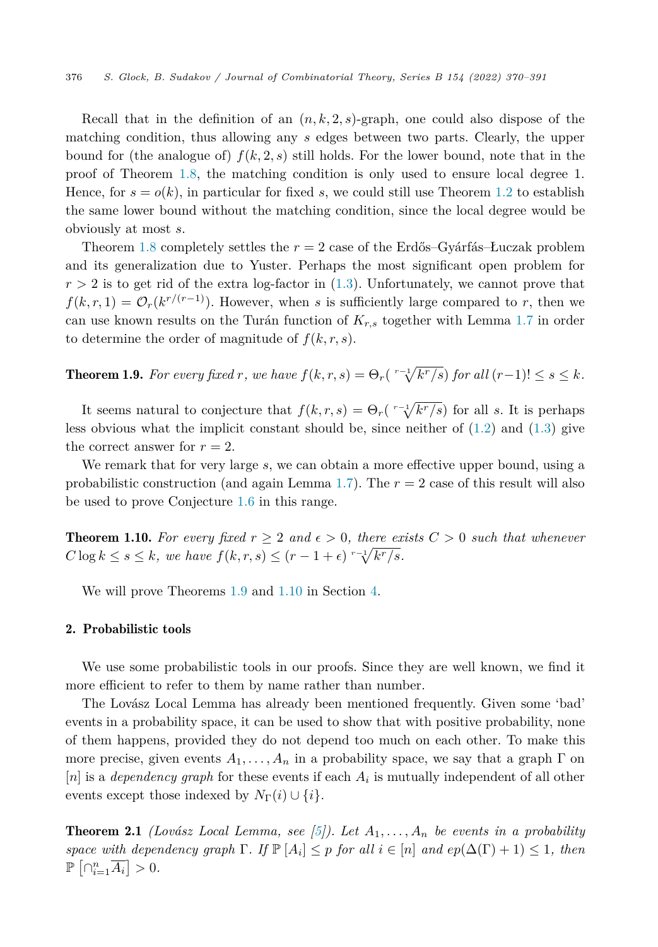<span id="page-6-0"></span>Recall that in the definition of an  $(n, k, 2, s)$ -graph, one could also dispose of the matching condition, thus allowing any *s* edges between two parts. Clearly, the upper bound for (the analogue of)  $f(k, 2, s)$  still holds. For the lower bound, note that in the proof of Theorem [1.8](#page-5-0), the matching condition is only used to ensure local degree 1. Hence, for  $s = o(k)$ , in particular for fixed *s*, we could still use Theorem [1.2](#page-2-0) to establish the same lower bound without the matching condition, since the local degree would be obviously at most *s*.

Theorem [1.8](#page-5-0) completely settles the *r* = 2 case of the Erdős–Gyárfás–Łuczak problem and its generalization due to Yuster. Perhaps the most significant open problem for  $r > 2$  is to get rid of the extra log-factor in  $(1.3)$  $(1.3)$ . Unfortunately, we cannot prove that  $f(k, r, 1) = \mathcal{O}_r(k^{r/(r-1)})$ . However, when *s* is sufficiently large compared to *r*, then we can use known results on the Turán function of  $K_{r,s}$  together with Lemma [1.7](#page-5-0) in order to determine the order of magnitude of  $f(k, r, s)$ .

**Theorem 1.9.** For every fixed r, we have  $f(k, r, s) = \Theta_r(\sqrt[r-1]{k^r/s})$  for all  $(r-1)! \leq s \leq k$ .

It seems natural to conjecture that  $f(k, r, s) = \Theta_r(\sqrt{r-1/kr/s})$  for all *s*. It is perhaps less obvious what the implicit constant should be, since neither of  $(1.2)$  $(1.2)$  and  $(1.3)$  $(1.3)$  $(1.3)$  give the correct answer for  $r = 2$ .

We remark that for very large *s*, we can obtain a more effective upper bound, using a probabilistic construction (and again Lemma [1.7\)](#page-5-0). The *r* = 2 case of this result will also be used to prove Conjecture [1.6](#page-5-0) in this range.

**Theorem 1.10.** For every fixed  $r \geq 2$  and  $\epsilon > 0$ , there exists  $C > 0$  such that whenever  $C \log k \le s \le k$ , we have  $f(k, r, s) \le (r - 1 + \epsilon) \sqrt[r-1]{k^r/s}$ .

We will prove Theorems 1.9 and 1.10 in Section [4](#page-17-0).

# 2. Probabilistic tools

We use some probabilistic tools in our proofs. Since they are well known, we find it more efficient to refer to them by name rather than number.

The Lovász Local Lemma has already been mentioned frequently. Given some 'bad' events in a probability space, it can be used to show that with positive probability, none of them happens, provided they do not depend too much on each other. To make this more precise, given events  $A_1, \ldots, A_n$  in a probability space, we say that a graph  $\Gamma$  on  $|n|$  is a *dependency graph* for these events if each  $A_i$  is mutually independent of all other events except those indexed by  $N_{\Gamma}(i) \cup \{i\}.$ 

**Theorem 2.1** *(Lovász Local Lemma, see [\[5](#page-21-0)]). Let*  $A_1, \ldots, A_n$  *be events in a probability space* with dependency graph  $\Gamma$ *. If*  $\mathbb{P}[A_i] \leq p$  for all  $i \in [n]$  and  $ep(\Delta(\Gamma) + 1) \leq 1$ , then  $\mathbb{P}\left[\bigcap_{i=1}^n \overline{A_i}\right] > 0.$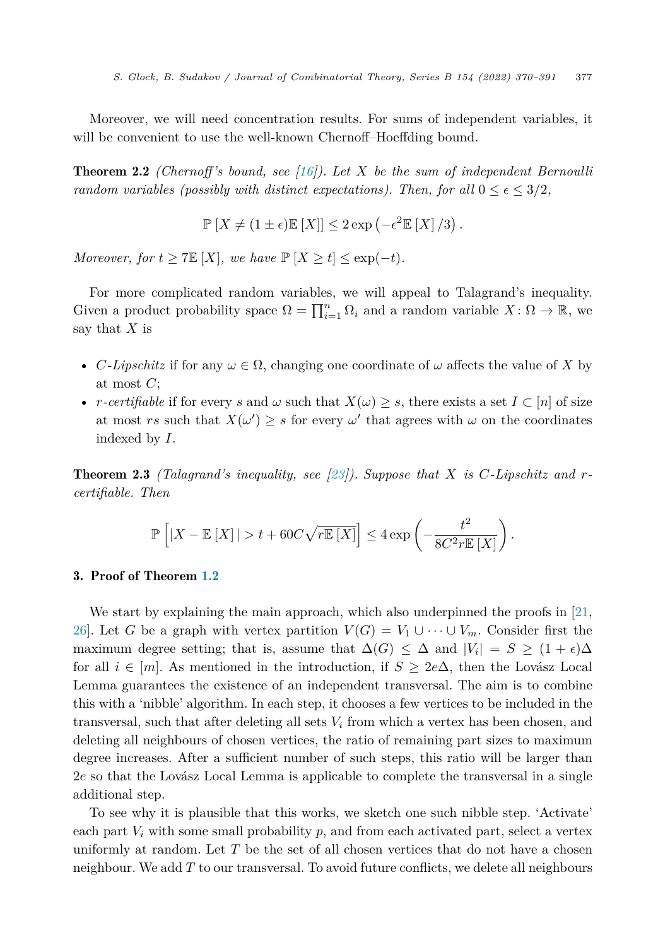Moreover, we will need concentration results. For sums of independent variables, it will be convenient to use the well-known Chernoff–Hoeffding bound.

Theorem 2.2 *(Chernoff's bound, see [[16](#page-21-0)]). Let X be the sum of independent Bernoulli random variables* (*possibly with distinct expectations*). Then, for all  $0 \le \epsilon \le 3/2$ ,

$$
\mathbb{P}\left[X \neq (1 \pm \epsilon)\mathbb{E}\left[X\right]\right] \leq 2\exp\left(-\epsilon^2 \mathbb{E}\left[X\right]/3\right).
$$

*Moreover, for*  $t \geq 7E[X]$ *, we have*  $\mathbb{P}[X \geq t] \leq \exp(-t)$ *.* 

For more complicated random variables, we will appeal to Talagrand's inequality. Given a product probability space  $\Omega = \prod_{i=1}^{n} \Omega_i$  and a random variable  $X: \Omega \to \mathbb{R}$ , we say that *X* is

- *C*-Lipschitz if for any  $\omega \in \Omega$ , changing one coordinate of  $\omega$  affects the value of X by at most *C*;
- *r*-*certifiable* if for every *s* and  $\omega$  such that  $X(\omega) \geq s$ , there exists a set  $I \subset [n]$  of size at most *rs* such that  $X(\omega') \geq s$  for every  $\omega'$  that agrees with  $\omega$  on the coordinates indexed by *I*.

Theorem 2.3 *(Talagrand's inequality, see [[23](#page-21-0)]). Suppose that X is C-Lipschitz and rcertifiable. Then*

$$
\mathbb{P}\left[|X - \mathbb{E}\left[X\right]| > t + 60C\sqrt{r\mathbb{E}\left[X\right]}\right] \le 4\exp\left(-\frac{t^2}{8C^2r\mathbb{E}\left[X\right]}\right).
$$

# 3. Proof of Theorem [1.2](#page-2-0)

We start by explaining the main approach, which also underpinned the proofs in [\[21](#page-21-0), [26](#page-21-0)]. Let *G* be a graph with vertex partition  $V(G) = V_1 \cup \cdots \cup V_m$ . Consider first the maximum degree setting; that is, assume that  $\Delta(G) \leq \Delta$  and  $|V_i| = S \geq (1 + \epsilon)\Delta$ for all  $i \in [m]$ . As mentioned in the introduction, if  $S \geq 2e\Delta$ , then the Lovász Local Lemma guarantees the existence of an independent transversal. The aim is to combine this with a 'nibble' algorithm. In each step, it chooses a few vertices to be included in the transversal, such that after deleting all sets *V<sup>i</sup>* from which a vertex has been chosen, and deleting all neighbours of chosen vertices, the ratio of remaining part sizes to maximum degree increases. After a sufficient number of such steps, this ratio will be larger than 2*e* so that the Lovász Local Lemma is applicable to complete the transversal in a single additional step.

To see why it is plausible that this works, we sketch one such nibble step. 'Activate' each part  $V_i$  with some small probability  $p$ , and from each activated part, select a vertex uniformly at random. Let *T* be the set of all chosen vertices that do not have a chosen neighbour. We add *T* to our transversal. To avoid future conflicts, we delete all neighbours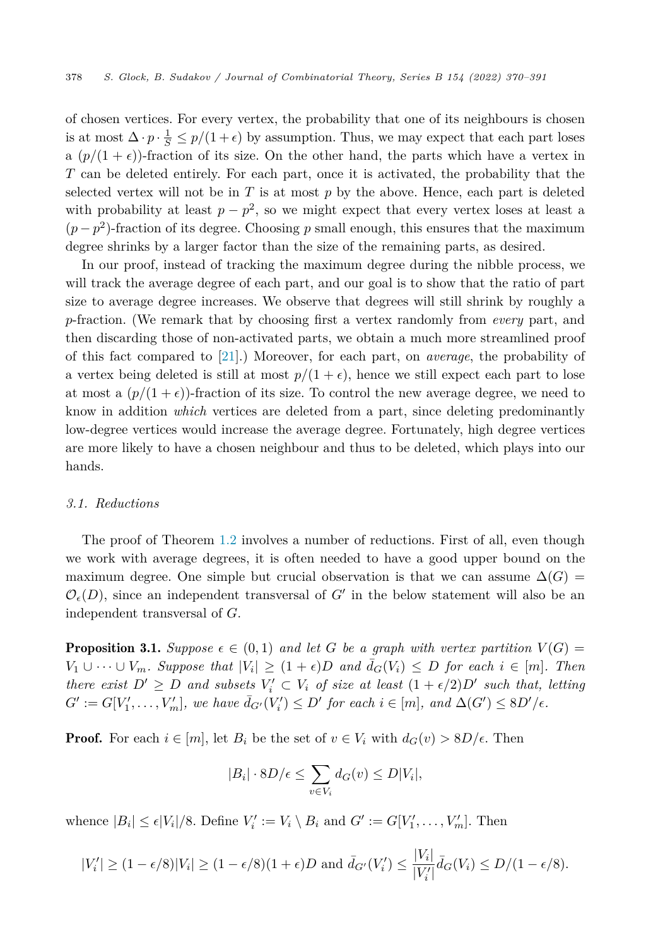<span id="page-8-0"></span>of chosen vertices. For every vertex, the probability that one of its neighbours is chosen is at most  $\Delta \cdot p \cdot \frac{1}{S} \leq p/(1+\epsilon)$  by assumption. Thus, we may expect that each part loses a  $(p/(1+\epsilon))$ -fraction of its size. On the other hand, the parts which have a vertex in *T* can be deleted entirely. For each part, once it is activated, the probability that the selected vertex will not be in  $T$  is at most  $p$  by the above. Hence, each part is deleted with probability at least  $p - p^2$ , so we might expect that every vertex loses at least a  $(p - p^2)$ -fraction of its degree. Choosing p small enough, this ensures that the maximum degree shrinks by a larger factor than the size of the remaining parts, as desired.

In our proof, instead of tracking the maximum degree during the nibble process, we will track the average degree of each part, and our goal is to show that the ratio of part size to average degree increases. We observe that degrees will still shrink by roughly a *p*-fraction. (We remark that by choosing first a vertex randomly from *every* part, and then discarding those of non-activated parts, we obtain a much more streamlined proof of this fact compared to [[21\]](#page-21-0).) Moreover, for each part, on *average*, the probability of a vertex being deleted is still at most  $p/(1+\epsilon)$ , hence we still expect each part to lose at most a  $\left(\frac{p}{1+\epsilon}\right)$ -fraction of its size. To control the new average degree, we need to know in addition *which* vertices are deleted from a part, since deleting predominantly low-degree vertices would increase the average degree. Fortunately, high degree vertices are more likely to have a chosen neighbour and thus to be deleted, which plays into our hands.

# *3.1. Reductions*

The proof of Theorem [1.2](#page-2-0) involves a number of reductions. First of all, even though we work with average degrees, it is often needed to have a good upper bound on the maximum degree. One simple but crucial observation is that we can assume  $\Delta(G)$  =  $\mathcal{O}_{\epsilon}(D)$ , since an independent transversal of  $G'$  in the below statement will also be an independent transversal of *G*.

**Proposition 3.1.** Suppose  $\epsilon \in (0,1)$  and let G be a graph with vertex partition  $V(G)$  =  $V_1 \cup \cdots \cup V_m$ . Suppose that  $|V_i| \geq (1+\epsilon)D$  and  $\bar{d}_G(V_i) \leq D$  for each  $i \in [m]$ . Then there exist  $D' \geq D$  and subsets  $V_i' \subset V_i$  of size at least  $(1 + \epsilon/2)D'$  such that, letting  $G' := G[V'_1, \ldots, V'_m],$  we have  $\bar{d}_{G'}(V'_i) \le D'$  for each  $i \in [m]$ , and  $\Delta(G') \le 8D'/\epsilon$ .

**Proof.** For each  $i \in [m]$ , let  $B_i$  be the set of  $v \in V_i$  with  $d_G(v) > 8D/\epsilon$ . Then

$$
|B_i| \cdot 8D/\epsilon \le \sum_{v \in V_i} d_G(v) \le D|V_i|,
$$

whence  $|B_i| \leq \epsilon |V_i|/8$ . Define  $V_i' := V_i \setminus B_i$  and  $G' := G[V_1', \ldots, V_m']$ . Then

$$
|V_i'| \ge (1 - \epsilon/8)|V_i| \ge (1 - \epsilon/8)(1 + \epsilon)D \text{ and } \bar{d}_{G'}(V_i') \le \frac{|V_i|}{|V_i'|} \bar{d}_G(V_i) \le D/(1 - \epsilon/8).
$$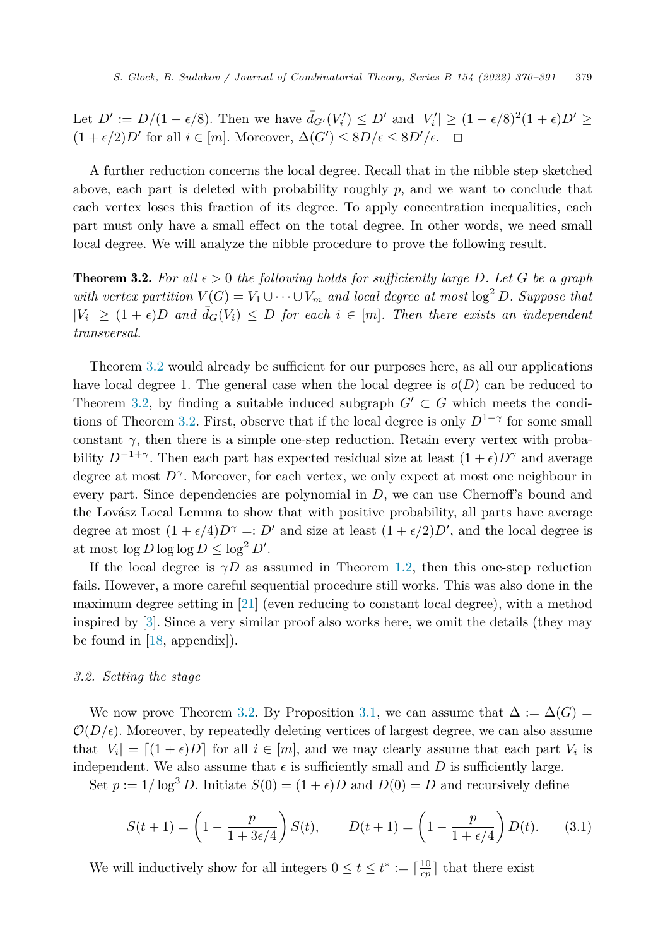<span id="page-9-0"></span>Let  $D' := D/(1 - \epsilon/8)$ . Then we have  $\bar{d}_{G'}(V_i') \le D'$  and  $|V_i'| \ge (1 - \epsilon/8)^2(1 + \epsilon)D' \ge$  $(1 + \epsilon/2)D'$  for all  $i \in [m]$ . Moreover,  $\Delta(G') \le 8D/\epsilon \le 8D'/\epsilon$ .  $\Box$ 

A further reduction concerns the local degree. Recall that in the nibble step sketched above, each part is deleted with probability roughly *p*, and we want to conclude that each vertex loses this fraction of its degree. To apply concentration inequalities, each part must only have a small effect on the total degree. In other words, we need small local degree. We will analyze the nibble procedure to prove the following result.

**Theorem 3.2.** For all  $\epsilon > 0$  the following holds for sufficiently large D. Let G be a graph *with vertex partition*  $V(G) = V_1 \cup \cdots \cup V_m$  *and local degree at most*  $\log^2 D$ *. Suppose that*  $|V_i| \geq (1 + \epsilon)D$  *and*  $\bar{d}_G(V_i) \leq D$  *for each*  $i \in [m]$ *. Then there exists an independent transversal.*

Theorem 3.2 would already be sufficient for our purposes here, as all our applications have local degree 1. The general case when the local degree is  $o(D)$  can be reduced to Theorem 3.2, by finding a suitable induced subgraph  $G' \subset G$  which meets the conditions of Theorem 3.2. First, observe that if the local degree is only  $D^{1-\gamma}$  for some small constant  $\gamma$ , then there is a simple one-step reduction. Retain every vertex with probability  $D^{-1+\gamma}$ . Then each part has expected residual size at least  $(1+\epsilon)D^{\gamma}$  and average degree at most  $D^{\gamma}$ . Moreover, for each vertex, we only expect at most one neighbour in every part. Since dependencies are polynomial in *D*, we can use Chernoff's bound and the Lovász Local Lemma to show that with positive probability, all parts have average degree at most  $(1 + \epsilon/4)D^{\gamma} =: D'$  and size at least  $(1 + \epsilon/2)D'$ , and the local degree is at most  $\log D \log \log D \leq \log^2 D'$ .

If the local degree is  $\gamma D$  as assumed in Theorem [1.2](#page-2-0), then this one-step reduction fails. However, a more careful sequential procedure still works. This was also done in the maximum degree setting in [\[21](#page-21-0)] (even reducing to constant local degree), with a method inspired by [\[3](#page-20-0)]. Since a very similar proof also works here, we omit the details (they may be found in [\[18](#page-21-0), appendix]).

# *3.2. Setting the stage*

We now prove Theorem 3.2. By Proposition [3.1](#page-8-0), we can assume that  $\Delta := \Delta(G)$  $\mathcal{O}(D/\epsilon)$ . Moreover, by repeatedly deleting vertices of largest degree, we can also assume that  $|V_i| = \lfloor (1 + \epsilon)D \rfloor$  for all  $i \in [m]$ , and we may clearly assume that each part  $V_i$  is independent. We also assume that  $\epsilon$  is sufficiently small and  $D$  is sufficiently large.

Set  $p := 1/\log^3 D$ . Initiate  $S(0) = (1 + \epsilon)D$  and  $D(0) = D$  and recursively define

$$
S(t+1) = \left(1 - \frac{p}{1 + 3\epsilon/4}\right)S(t), \qquad D(t+1) = \left(1 - \frac{p}{1 + \epsilon/4}\right)D(t). \tag{3.1}
$$

We will inductively show for all integers  $0 \le t \le t^* := \lceil \frac{10}{\epsilon p} \rceil$  that there exist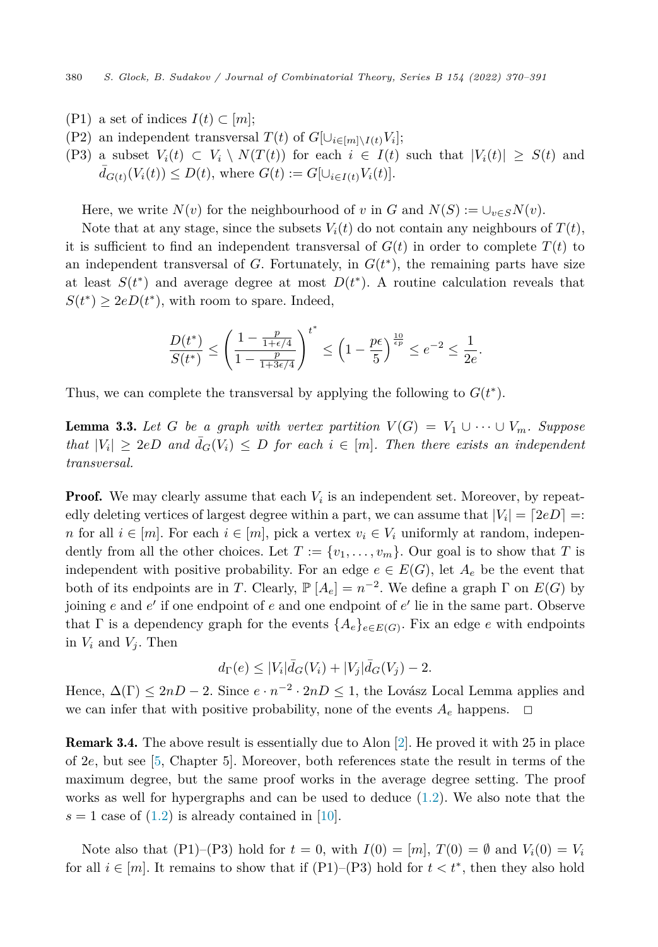- <span id="page-10-0"></span> $(P1)$  a set of indices  $I(t) \subset [m];$
- (P2) an independent transversal  $T(t)$  of  $G[\cup_{i \in [m] \setminus I(t)} V_i]$ ;

(P3) a subset 
$$
V_i(t) \subset V_i \setminus N(T(t))
$$
 for each  $i \in I(t)$  such that  $|V_i(t)| \ge S(t)$  and  $\bar{d}_{G(t)}(V_i(t)) \le D(t)$ , where  $G(t) := G[\cup_{i \in I(t)} V_i(t)]$ .

Here, we write  $N(v)$  for the neighbourhood of *v* in *G* and  $N(S) := \bigcup_{v \in S} N(v)$ .

Note that at any stage, since the subsets  $V_i(t)$  do not contain any neighbours of  $T(t)$ , it is sufficient to find an independent transversal of  $G(t)$  in order to complete  $T(t)$  to an independent transversal of  $G$ . Fortunately, in  $G(t^*)$ , the remaining parts have size at least  $S(t^*)$  and average degree at most  $D(t^*)$ . A routine calculation reveals that  $S(t^*) \geq 2eD(t^*)$ , with room to spare. Indeed,

$$
\frac{D(t^*)}{S(t^*)} \le \left(\frac{1 - \frac{p}{1 + \epsilon/4}}{1 - \frac{p}{1 + 3\epsilon/4}}\right)^{t^*} \le \left(1 - \frac{p\epsilon}{5}\right)^{\frac{10}{\epsilon p}} \le e^{-2} \le \frac{1}{2e}.
$$

Thus, we can complete the transversal by applying the following to  $G(t^*)$ .

**Lemma 3.3.** Let G be a graph with vertex partition  $V(G) = V_1 \cup \cdots \cup V_m$ . Suppose  $that$   $|V_i| \geq 2eD$  *and*  $\bar{d}_G(V_i) \leq D$  *for each*  $i \in [m]$ *. Then there exists an independent transversal.*

**Proof.** We may clearly assume that each  $V_i$  is an independent set. Moreover, by repeatedly deleting vertices of largest degree within a part, we can assume that  $|V_i| = [2eD] =$ *n* for all  $i \in [m]$ . For each  $i \in [m]$ , pick a vertex  $v_i \in V_i$  uniformly at random, independently from all the other choices. Let  $T := \{v_1, \ldots, v_m\}$ . Our goal is to show that *T* is independent with positive probability. For an edge  $e \in E(G)$ , let  $A_e$  be the event that both of its endpoints are in *T*. Clearly,  $\mathbb{P}[A_e] = n^{-2}$ . We define a graph  $\Gamma$  on  $E(G)$  by joining *e* and *e* if one endpoint of *e* and one endpoint of *e* lie in the same part. Observe that  $\Gamma$  is a dependency graph for the events  $\{A_e\}_{e \in E(G)}$ . Fix an edge *e* with endpoints in  $V_i$  and  $V_j$ . Then

$$
d_{\Gamma}(e) \leq |V_i|\bar{d}_G(V_i) + |V_j|\bar{d}_G(V_j) - 2.
$$

Hence,  $\Delta(\Gamma) \leq 2nD - 2$ . Since  $e \cdot n^{-2} \cdot 2nD \leq 1$ , the Lovász Local Lemma applies and we can infer that with positive probability, none of the events  $A_e$  happens.  $\Box$ 

Remark 3.4. The above result is essentially due to Alon [[2\]](#page-20-0). He proved it with 25 in place of 2*e*, but see [\[5](#page-21-0), Chapter 5]. Moreover, both references state the result in terms of the maximum degree, but the same proof works in the average degree setting. The proof works as well for hypergraphs and can be used to deduce [\(1.2](#page-4-0)). We also note that the  $s = 1$  case of  $(1.2)$  $(1.2)$  $(1.2)$  is already contained in  $|10|$ .

Note also that (P1)–(P3) hold for  $t = 0$ , with  $I(0) = [m]$ ,  $T(0) = \emptyset$  and  $V_i(0) = V_i$ for all  $i \in [m]$ . It remains to show that if  $(P1)$ – $(P3)$  hold for  $t < t^*$ , then they also hold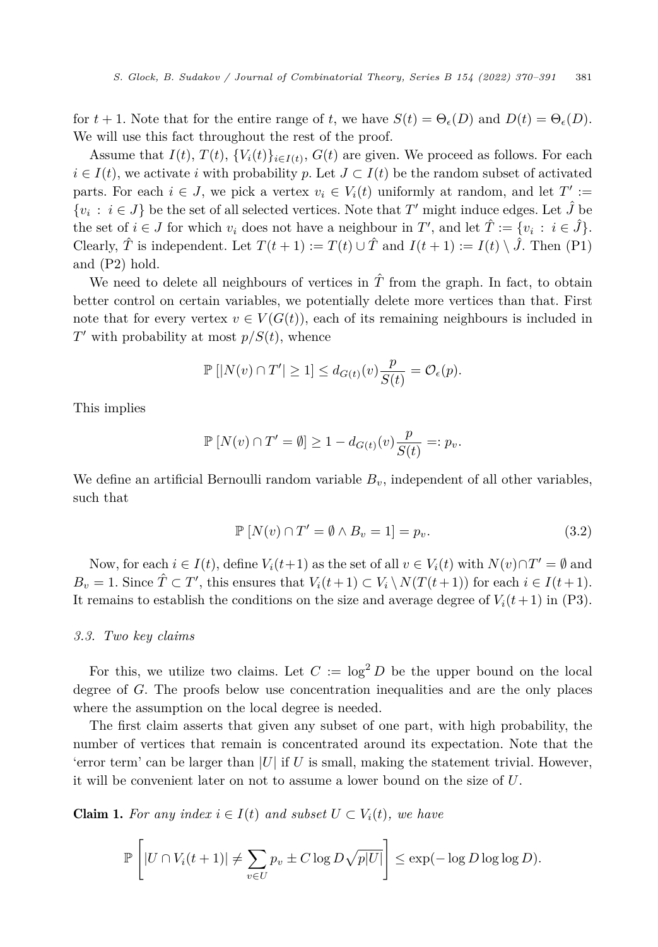<span id="page-11-0"></span>for  $t + 1$ . Note that for the entire range of *t*, we have  $S(t) = \Theta_{\epsilon}(D)$  and  $D(t) = \Theta_{\epsilon}(D)$ . We will use this fact throughout the rest of the proof.

Assume that  $I(t)$ ,  $T(t)$ ,  $\{V_i(t)\}_{i \in I(t)}$ ,  $G(t)$  are given. We proceed as follows. For each  $i \in I(t)$ , we activate *i* with probability *p*. Let  $J \subset I(t)$  be the random subset of activated parts. For each  $i \in J$ , we pick a vertex  $v_i \in V_i(t)$  uniformly at random, and let  $T' :=$  $\{v_i : i \in J\}$  be the set of all selected vertices. Note that *T'* might induce edges. Let  $\hat{J}$  be the set of  $i \in J$  for which  $v_i$  does not have a neighbour in  $T'$ , and let  $\hat{T} := \{v_i : i \in \hat{J}\}.$ Clearly,  $\hat{T}$  is independent. Let  $T(t+1) := T(t) \cup \hat{T}$  and  $I(t+1) := I(t) \setminus \hat{J}$ . Then (P1) and (P2) hold.

We need to delete all neighbours of vertices in  $\hat{T}$  from the graph. In fact, to obtain better control on certain variables, we potentially delete more vertices than that. First note that for every vertex  $v \in V(G(t))$ , each of its remaining neighbours is included in  $T'$  with probability at most  $p/S(t)$ , whence

$$
\mathbb{P}\left[|N(v) \cap T'| \ge 1\right] \le d_{G(t)}(v) \frac{p}{S(t)} = \mathcal{O}_{\epsilon}(p).
$$

This implies

$$
\mathbb{P}\left[N(v)\cap T'=\emptyset\right]\geq 1-d_{G(t)}(v)\frac{p}{S(t)}=:p_v.
$$

We define an artificial Bernoulli random variable  $B<sub>v</sub>$ , independent of all other variables, such that

$$
\mathbb{P}\left[N(v)\cap T'=\emptyset\land B_v=1\right]=p_v.\tag{3.2}
$$

Now, for each  $i \in I(t)$ , define  $V_i(t+1)$  as the set of all  $v \in V_i(t)$  with  $N(v) \cap T' = \emptyset$  and  $B_v = 1$ . Since  $\hat{T} \subset T'$ , this ensures that  $V_i(t+1) \subset V_i \setminus N(T(t+1))$  for each  $i \in I(t+1)$ . It remains to establish the conditions on the size and average degree of  $V_i(t+1)$  in (P3).

#### *3.3. Two key claims*

For this, we utilize two claims. Let  $C := \log^2 D$  be the upper bound on the local degree of *G*. The proofs below use concentration inequalities and are the only places where the assumption on the local degree is needed.

The first claim asserts that given any subset of one part, with high probability, the number of vertices that remain is concentrated around its expectation. Note that the 'error term' can be larger than  $|U|$  if U is small, making the statement trivial. However, it will be convenient later on not to assume a lower bound on the size of *U*.

**Claim 1.** For any index  $i \in I(t)$  and subset  $U \subset V_i(t)$ , we have

$$
\mathbb{P}\left[|U \cap V_i(t+1)| \neq \sum_{v \in U} p_v \pm C \log D\sqrt{p|U|}\right] \leq \exp(-\log D \log \log D).
$$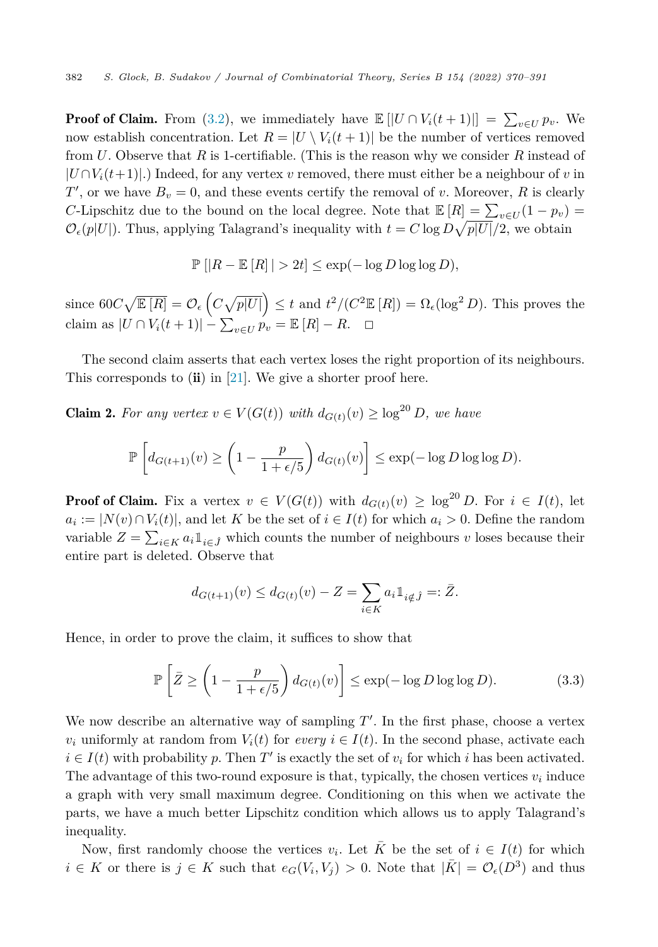<span id="page-12-0"></span>**Proof of Claim.** From [\(3.2](#page-11-0)), we immediately have  $\mathbb{E} [U \cap V_i(t+1)] = \sum_{v \in U} p_v$ . We now establish concentration. Let  $R = |U \setminus V_i(t+1)|$  be the number of vertices removed from *U*. Observe that *R* is 1-certifiable. (This is the reason why we consider *R* instead of  $|U \cap V_i(t+1)|$ .) Indeed, for any vertex *v* removed, there must either be a neighbour of *v* in  $T'$ , or we have  $B_v = 0$ , and these events certify the removal of *v*. Moreover, *R* is clearly *C*-Lipschitz due to the bound on the local degree. Note that  $\mathbb{E}[R] = \sum_{v \in U} (1 - p_v) =$  $\mathcal{O}_{\epsilon}(p|U|)$ . Thus, applying Talagrand's inequality with  $t = C \log D \sqrt{p|U|/2}$ , we obtain

$$
\mathbb{P}\left[|R - \mathbb{E}\left[R\right]| > 2t\right] \le \exp(-\log D \log \log D),
$$

 $\text{since } 60C\sqrt{\mathbb{E}[R]} = \mathcal{O}_{\epsilon}(\text{C}\sqrt{p|U|}) \leq t \text{ and } t^2/(C^2 \mathbb{E}[R]) = \Omega_{\epsilon}(\log^2 D).$  This proves the  $\text{claim as } |U \cap V_i(t+1)| - \sum_{v \in U} p_v = \mathbb{E}[R] - R. \quad \Box$ 

The second claim asserts that each vertex loses the right proportion of its neighbours. This corresponds to  $(ii)$  in [\[21](#page-21-0)]. We give a shorter proof here.

**Claim 2.** For any vertex  $v \in V(G(t))$  with  $d_{G(t)}(v) \ge \log^{20} D$ , we have

$$
\mathbb{P}\left[d_{G(t+1)}(v) \ge \left(1 - \frac{p}{1 + \epsilon/5}\right) d_{G(t)}(v)\right] \le \exp(-\log D \log \log D).
$$

**Proof of Claim.** Fix a vertex  $v \in V(G(t))$  with  $d_{G(t)}(v) \geq \log^{20} D$ . For  $i \in I(t)$ , let  $a_i := |N(v) \cap V_i(t)|$ , and let *K* be the set of  $i \in I(t)$  for which  $a_i > 0$ . Define the random variable  $Z = \sum_{i \in K} a_i 1_{i \in \hat{J}}$  which counts the number of neighbours *v* loses because their entire part is deleted. Observe that

$$
d_{G(t+1)}(v) \leq d_{G(t)}(v) - Z = \sum_{i \in K} a_i \mathbb{1}_{i \notin \hat{J}} =: \bar{Z}.
$$

Hence, in order to prove the claim, it suffices to show that

$$
\mathbb{P}\left[\bar{Z} \ge \left(1 - \frac{p}{1 + \epsilon/5}\right) d_{G(t)}(v)\right] \le \exp(-\log D \log \log D). \tag{3.3}
$$

We now describe an alternative way of sampling  $T'$ . In the first phase, choose a vertex *v<sub>i</sub>* uniformly at random from  $V_i(t)$  for *every*  $i \in I(t)$ . In the second phase, activate each  $i \in I(t)$  with probability p. Then T' is exactly the set of  $v_i$  for which *i* has been activated. The advantage of this two-round exposure is that, typically, the chosen vertices  $v_i$  induce a graph with very small maximum degree. Conditioning on this when we activate the parts, we have a much better Lipschitz condition which allows us to apply Talagrand's inequality.

Now, first randomly choose the vertices  $v_i$ . Let  $\overline{K}$  be the set of  $i \in I(t)$  for which *i* ∈ *K* or there is *j* ∈ *K* such that  $e_G(V_i, V_j) > 0$ . Note that  $|\bar{K}| = \mathcal{O}_{\epsilon}(D^3)$  and thus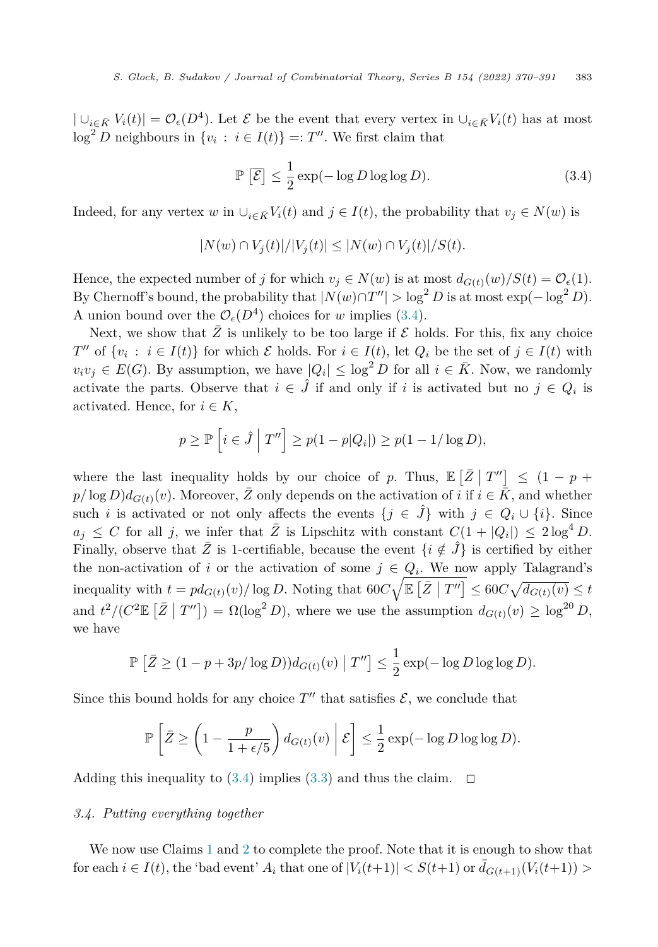$| \cup_{i \in \bar{K}} V_i(t) | = \mathcal{O}_{\epsilon}(D^4)$ . Let  $\mathcal{E}$  be the event that every vertex in  $\cup_{i \in \bar{K}} V_i(t)$  has at most  $\log^2 D$  neighbours in  $\{v_i : i \in I(t)\} =: T''$ . We first claim that

$$
\mathbb{P}\left[\overline{\mathcal{E}}\right] \le \frac{1}{2} \exp(-\log D \log \log D). \tag{3.4}
$$

Indeed, for any vertex *w* in  $\cup_{i \in \bar{K}} V_i(t)$  and  $j \in I(t)$ , the probability that  $v_j \in N(w)$  is

$$
|N(w) \cap V_j(t)|/|V_j(t)| \le |N(w) \cap V_j(t)|/S(t).
$$

Hence, the expected number of *j* for which  $v_j \in N(w)$  is at most  $d_{G(t)}(w)/S(t) = \mathcal{O}_{\epsilon}(1)$ . By Chernoff's bound, the probability that  $|N(w) \cap T''| > \log^2 D$  is at most  $\exp(-\log^2 D)$ . A union bound over the  $\mathcal{O}_{\epsilon}(D^4)$  choices for *w* implies (3.4).

Next, we show that  $\overline{Z}$  is unlikely to be too large if  $\mathcal E$  holds. For this, fix any choice *T*<sup>*n*</sup> of  $\{v_i : i \in I(t)\}$  for which *E* holds. For  $i \in I(t)$ , let  $Q_i$  be the set of  $j \in I(t)$  with  $v_i v_j \in E(G)$ . By assumption, we have  $|Q_i| \leq \log^2 D$  for all  $i \in \overline{K}$ . Now, we randomly activate the parts. Observe that  $i \in \hat{J}$  if and only if *i* is activated but no  $j \in Q_i$  is activated. Hence, for  $i \in K$ ,

$$
p \ge \mathbb{P}\left[i \in \hat{J} \mid T''\right] \ge p(1-p|Q_i|) \ge p(1-1/\log D),
$$

where the last inequality holds by our choice of *p*. Thus,  $\mathbb{E}\left[\bar{Z} \mid T''\right] \leq (1 - p + q)$  $p/\log D$ ) $d_{G(t)}(v)$ . Moreover,  $\overline{Z}$  only depends on the activation of *i* if  $i \in \overline{K}$ , and whether such *i* is activated or not only affects the events  $\{j \in \hat{J}\}\$  with  $j \in Q_i \cup \{i\}\$ . Since  $a_j \leq C$  for all *j*, we infer that  $\overline{Z}$  is Lipschitz with constant  $C(1 + |Q_i|) \leq 2 \log^4 D$ . Finally, observe that  $\overline{Z}$  is 1-certifiable, because the event  $\{i \notin \hat{J}\}\$ is certified by either the non-activation of *i* or the activation of some  $j \in Q_i$ . We now apply Talagrand's inequality with  $t = pd_{G(t)}(v) / \log D$ . Noting that  $60C \sqrt{\mathbb{E}[\bar{Z} | T'']} \leq 60C \sqrt{d_{G(t)}(v)} \leq t$ and  $t^2/(C^2 \mathbb{E} [\bar{Z} | T'']) = \Omega(\log^2 D)$ , where we use the assumption  $d_{G(t)}(v) \ge \log^{20} D$ , we have

$$
\mathbb{P}\left[\bar{Z}\geq (1-p+3p/\log D))d_{G(t)}(v)\mid T''\right]\leq \frac{1}{2}\exp(-\log D\log\log D).
$$

Since this bound holds for any choice  $T''$  that satisfies  $\mathcal{E}$ , we conclude that

$$
\mathbb{P}\left[\bar{Z} \ge \left(1 - \frac{p}{1 + \epsilon/5}\right) d_{G(t)}(v) \middle| \mathcal{E}\right] \le \frac{1}{2} \exp(-\log D \log \log D).
$$

Adding this inequality to  $(3.4)$  implies  $(3.3)$  and thus the claim.  $\Box$ 

#### *3.4. Putting everything together*

We now use Claims [1](#page-11-0) and [2](#page-12-0) to complete the proof. Note that it is enough to show that for each  $i \in I(t)$ , the 'bad event'  $A_i$  that one of  $|V_i(t+1)| < S(t+1)$  or  $\bar{d}_{G(t+1)}(V_i(t+1)) >$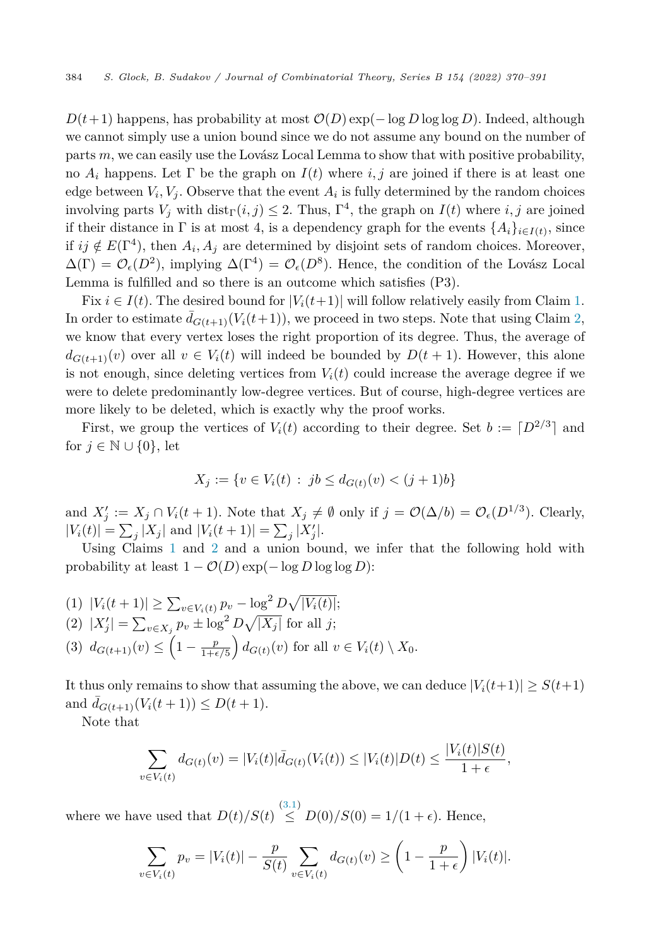$D(t+1)$  happens, has probability at most  $\mathcal{O}(D)$  exp(− log *D* log log *D*). Indeed, although we cannot simply use a union bound since we do not assume any bound on the number of parts *m*, we can easily use the Lovász Local Lemma to show that with positive probability, no  $A_i$  happens. Let  $\Gamma$  be the graph on  $I(t)$  where *i, j* are joined if there is at least one edge between  $V_i$ ,  $V_j$ . Observe that the event  $A_i$  is fully determined by the random choices involving parts  $V_j$  with  $dist_\Gamma(i, j) \leq 2$ . Thus,  $\Gamma^4$ , the graph on  $I(t)$  where *i*, *j* are joined if their distance in  $\Gamma$  is at most 4, is a dependency graph for the events  $\{A_i\}_{i\in I(t)}$ , since if  $ij \notin E(\Gamma^4)$ , then  $A_i, A_j$  are determined by disjoint sets of random choices. Moreover,  $\Delta(\Gamma) = \mathcal{O}_{\epsilon}(D^2)$ , implying  $\Delta(\Gamma^4) = \mathcal{O}_{\epsilon}(D^8)$ . Hence, the condition of the Lovász Local Lemma is fulfilled and so there is an outcome which satisfies (P3).

Fix  $i \in I(t)$ . The desired bound for  $|V_i(t+1)|$  will follow relatively easily from Claim [1.](#page-11-0) In order to estimate  $\bar{d}_{G(t+1)}(V_i(t+1))$ , we proceed in two steps. Note that using Claim [2,](#page-12-0) we know that every vertex loses the right proportion of its degree. Thus, the average of  $d_{G(t+1)}(v)$  over all  $v \in V_i(t)$  will indeed be bounded by  $D(t+1)$ . However, this alone is not enough, since deleting vertices from  $V_i(t)$  could increase the average degree if we were to delete predominantly low-degree vertices. But of course, high-degree vertices are more likely to be deleted, which is exactly why the proof works.

First, we group the vertices of  $V_i(t)$  according to their degree. Set  $b := [D^{2/3}]$  and for  $j \in \mathbb{N} \cup \{0\}$ , let

$$
X_j := \{ v \in V_i(t) : jb \le d_{G(t)}(v) < (j+1)b \}
$$

and  $X'_j := X_j \cap V_i(t+1)$ . Note that  $X_j \neq \emptyset$  only if  $j = \mathcal{O}(\Delta/b) = \mathcal{O}_{\epsilon}(D^{1/3})$ . Clearly,  $|V_i(t)| = \sum_j |X_j|$  and  $|V_i(t+1)| = \sum_j |X'_j|$ .

Using Claims [1](#page-11-0) and [2](#page-12-0) and a union bound, we infer that the following hold with probability at least  $1 - \mathcal{O}(D) \exp(-\log D \log \log D)$ :

 $|V_i(t+1)| \ge \sum_{v \in V_i(t)} p_v - \log^2 D \sqrt{|V_i(t)|};$  $(2)$   $|X'_j| = \sum_{v \in X_j} p_v \pm \log^2 D \sqrt{|X_j|}$  for all *j*; (3)  $d_{G(t+1)}(v) \leq \left(1 - \frac{p}{1+\epsilon/5}\right) d_{G(t)}(v)$  for all  $v \in V_i(t) \setminus X_0$ .

It thus only remains to show that assuming the above, we can deduce  $|V_i(t+1)| \geq S(t+1)$ and  $\bar{d}_{G(t+1)}(V_i(t+1)) \le D(t+1)$ .

Note that

$$
\sum_{v \in V_i(t)} d_{G(t)}(v) = |V_i(t)| \bar{d}_{G(t)}(V_i(t)) \leq |V_i(t)| D(t) \leq \frac{|V_i(t)| S(t)}{1 + \epsilon},
$$

where we have used that  $D(t)/S(t) \stackrel{(3.1)}{\leq} D(0)/S(0) = 1/(1+\epsilon)$  $D(t)/S(t) \stackrel{(3.1)}{\leq} D(0)/S(0) = 1/(1+\epsilon)$  $D(t)/S(t) \stackrel{(3.1)}{\leq} D(0)/S(0) = 1/(1+\epsilon)$ . Hence,

$$
\sum_{v \in V_i(t)} p_v = |V_i(t)| - \frac{p}{S(t)} \sum_{v \in V_i(t)} d_{G(t)}(v) \ge \left(1 - \frac{p}{1+\epsilon}\right) |V_i(t)|.
$$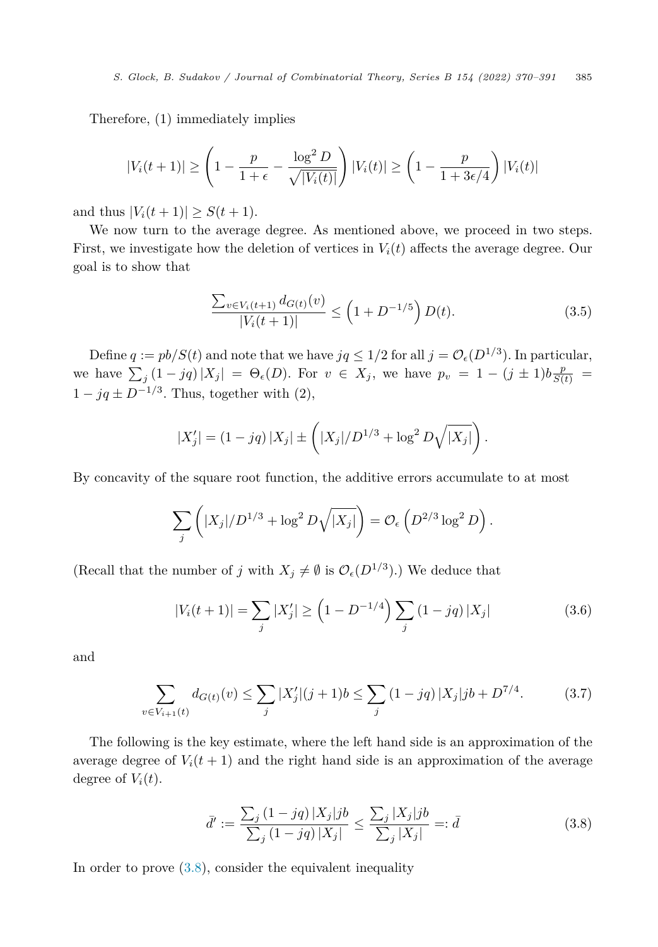<span id="page-15-0"></span>Therefore, (1) immediately implies

$$
|V_i(t+1)| \ge \left(1 - \frac{p}{1+\epsilon} - \frac{\log^2 D}{\sqrt{|V_i(t)|}}\right) |V_i(t)| \ge \left(1 - \frac{p}{1+3\epsilon/4}\right) |V_i(t)|
$$

and thus  $|V_i(t + 1)| \ge S(t + 1)$ .

We now turn to the average degree. As mentioned above, we proceed in two steps. First, we investigate how the deletion of vertices in  $V_i(t)$  affects the average degree. Our goal is to show that

$$
\frac{\sum_{v \in V_i(t+1)} d_{G(t)}(v)}{|V_i(t+1)|} \le \left(1 + D^{-1/5}\right) D(t). \tag{3.5}
$$

Define  $q := pb/S(t)$  and note that we have  $jq \leq 1/2$  for all  $j = \mathcal{O}_{\epsilon}(D^{1/3})$ . In particular, we have  $\sum_{j} (1 - jq) |X_j| = \Theta_{\epsilon}(D)$ . For  $v \in X_j$ , we have  $p_v = 1 - (j \pm 1)b \frac{p}{S(t)} =$  $1 - jq \pm D^{-1/3}$ . Thus, together with (2),

$$
|X'_j| = (1 - jq) |X_j| \pm \left( |X_j| / D^{1/3} + \log^2 D \sqrt{|X_j|} \right).
$$

By concavity of the square root function, the additive errors accumulate to at most

$$
\sum_j \left( |X_j|/D^{1/3} + \log^2 D\sqrt{|X_j|} \right) = \mathcal{O}_{\epsilon} \left( D^{2/3} \log^2 D \right).
$$

(Recall that the number of *j* with  $X_j \neq \emptyset$  is  $\mathcal{O}_{\epsilon}(D^{1/3})$ .) We deduce that

$$
|V_i(t+1)| = \sum_j |X'_j| \ge \left(1 - D^{-1/4}\right) \sum_j \left(1 - jq\right) |X_j| \tag{3.6}
$$

and

$$
\sum_{v \in V_{i+1}(t)} d_{G(t)}(v) \le \sum_{j} |X'_j| (j+1)b \le \sum_{j} (1 - jq) |X_j| jb + D^{7/4}.
$$
 (3.7)

The following is the key estimate, where the left hand side is an approximation of the average degree of  $V_i(t + 1)$  and the right hand side is an approximation of the average degree of  $V_i(t)$ .

$$
\bar{d}' := \frac{\sum_{j} (1 - jq) |X_j| jb}{\sum_{j} (1 - jq) |X_j|} \le \frac{\sum_{j} |X_j| jb}{\sum_{j} |X_j|} =: \bar{d}
$$
\n(3.8)

In order to prove  $(3.8)$ , consider the equivalent inequality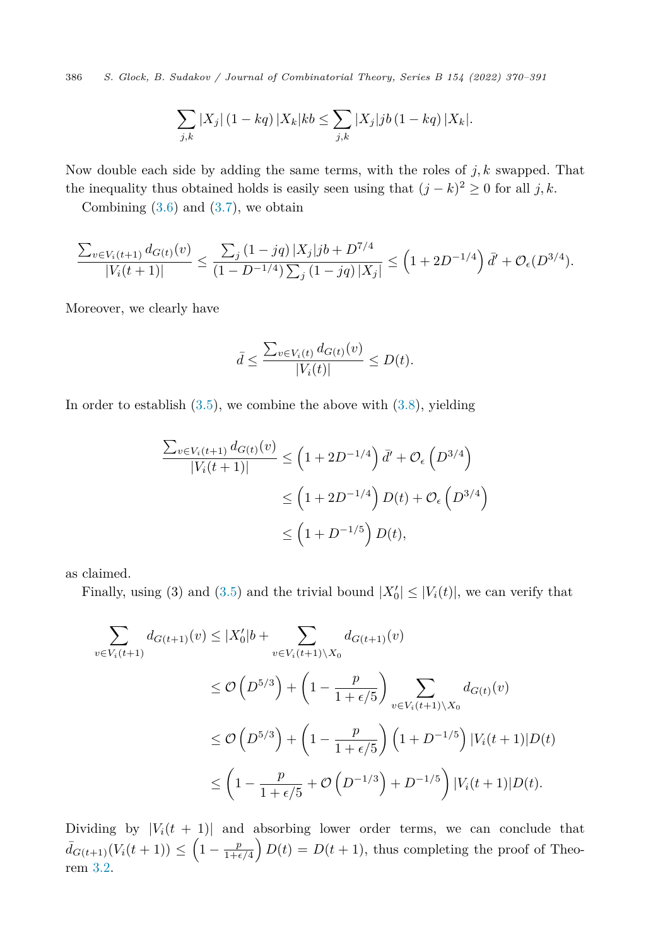386 *S. Glock, B. Sudakov / Journal of Combinatorial Theory, Series B 154 (2022) 370–391*

$$
\sum_{j,k} |X_j| (1 - kq) |X_k| kb \leq \sum_{j,k} |X_j| jb (1 - kq) |X_k|.
$$

Now double each side by adding the same terms, with the roles of *j, k* swapped. That the inequality thus obtained holds is easily seen using that  $(j - k)^2 \geq 0$  for all *j*, *k*.

Combining  $(3.6)$  $(3.6)$  and  $(3.7)$  $(3.7)$ , we obtain

$$
\frac{\sum_{v \in V_i(t+1)} d_{G(t)}(v)}{|V_i(t+1)|} \leq \frac{\sum_{j} (1 - jq) |X_j| jb + D^{7/4}}{(1 - D^{-1/4}) \sum_{j} (1 - jq) |X_j|} \leq \left(1 + 2D^{-1/4}\right) d' + \mathcal{O}_{\epsilon}(D^{3/4}).
$$

Moreover, we clearly have

$$
\bar{d} \le \frac{\sum_{v \in V_i(t)} d_{G(t)}(v)}{|V_i(t)|} \le D(t).
$$

In order to establish  $(3.5)$  $(3.5)$ , we combine the above with  $(3.8)$  $(3.8)$  $(3.8)$ , yielding

$$
\frac{\sum_{v \in V_i(t+1)} d_{G(t)}(v)}{|V_i(t+1)|} \le \left(1 + 2D^{-1/4}\right) \bar{d}' + \mathcal{O}_{\epsilon}\left(D^{3/4}\right)
$$
  

$$
\le \left(1 + 2D^{-1/4}\right) D(t) + \mathcal{O}_{\epsilon}\left(D^{3/4}\right)
$$
  

$$
\le \left(1 + D^{-1/5}\right) D(t),
$$

as claimed.

Finally, using (3) and [\(3.5](#page-15-0)) and the trivial bound  $|X'_0| \leq |V_i(t)|$ , we can verify that

$$
\sum_{v \in V_i(t+1)} d_{G(t+1)}(v) \le |X'_0|b + \sum_{v \in V_i(t+1)\setminus X_0} d_{G(t+1)}(v)
$$
\n
$$
\le \mathcal{O}\left(D^{5/3}\right) + \left(1 - \frac{p}{1 + \epsilon/5}\right) \sum_{v \in V_i(t+1)\setminus X_0} d_{G(t)}(v)
$$
\n
$$
\le \mathcal{O}\left(D^{5/3}\right) + \left(1 - \frac{p}{1 + \epsilon/5}\right) \left(1 + D^{-1/5}\right) |V_i(t+1)| D(t)
$$
\n
$$
\le \left(1 - \frac{p}{1 + \epsilon/5} + \mathcal{O}\left(D^{-1/3}\right) + D^{-1/5}\right) |V_i(t+1)| D(t).
$$

Dividing by  $|V_i(t + 1)|$  and absorbing lower order terms, we can conclude that  $\bar{d}_{G(t+1)}(V_i(t+1)) \leq \left(1 - \frac{p}{1+\epsilon/4}\right)D(t) = D(t+1)$ , thus completing the proof of Theorem [3.2.](#page-9-0)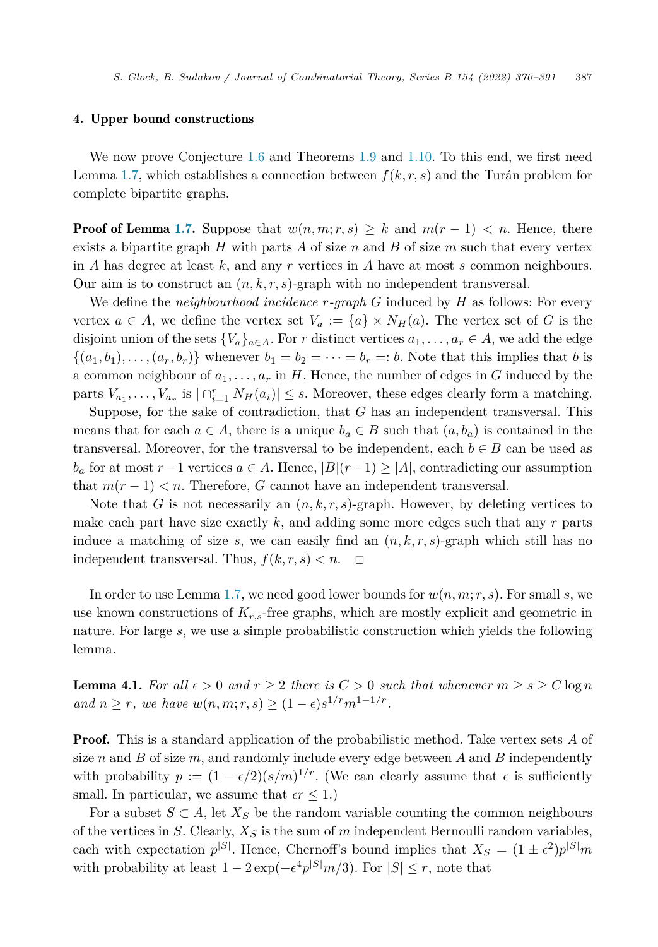## <span id="page-17-0"></span>4. Upper bound constructions

We now prove Conjecture [1.6](#page-5-0) and Theorems [1.9](#page-6-0) and [1.10.](#page-6-0) To this end, we first need Lemma [1.7](#page-5-0), which establishes a connection between  $f(k, r, s)$  and the Turán problem for complete bipartite graphs.

**Proof of Lemma [1.7.](#page-5-0)** Suppose that  $w(n,m;r,s) \geq k$  and  $m(r-1) < n$ . Hence, there exists a bipartite graph *H* with parts *A* of size *n* and *B* of size *m* such that every vertex in *A* has degree at least *k*, and any *r* vertices in *A* have at most *s* common neighbours. Our aim is to construct an  $(n, k, r, s)$ -graph with no independent transversal.

We define the *neighbourhood incidence r-graph G* induced by *H* as follows: For every vertex  $a \in A$ , we define the vertex set  $V_a := \{a\} \times N_H(a)$ . The vertex set of G is the disjoint union of the sets  $\{V_a\}_{a \in A}$ . For *r* distinct vertices  $a_1, \ldots, a_r \in A$ , we add the edge  $\{(a_1, b_1), \ldots, (a_r, b_r)\}\$  whenever  $b_1 = b_2 = \cdots = b_r =: b$ . Note that this implies that *b* is a common neighbour of  $a_1, \ldots, a_r$  in *H*. Hence, the number of edges in *G* induced by the parts  $V_{a_1}, \ldots, V_{a_r}$  is  $| \bigcap_{i=1}^r N_H(a_i) | \leq s$ . Moreover, these edges clearly form a matching.

Suppose, for the sake of contradiction, that *G* has an independent transversal. This means that for each  $a \in A$ , there is a unique  $b_a \in B$  such that  $(a, b_a)$  is contained in the transversal. Moreover, for the transversal to be independent, each  $b \in B$  can be used as *b<sub>a</sub>* for at most *r*−1 vertices  $a \in A$ . Hence,  $|B|(r-1) \geq |A|$ , contradicting our assumption that  $m(r-1) < n$ . Therefore, *G* cannot have an independent transversal.

Note that *G* is not necessarily an  $(n, k, r, s)$ -graph. However, by deleting vertices to make each part have size exactly *k*, and adding some more edges such that any *r* parts induce a matching of size  $s$ , we can easily find an  $(n, k, r, s)$ -graph which still has no independent transversal. Thus,  $f(k, r, s) < n$ .  $\Box$ 

In order to use Lemma [1.7](#page-5-0), we need good lower bounds for  $w(n, m; r, s)$ . For small *s*, we use known constructions of *Kr,s*-free graphs, which are mostly explicit and geometric in nature. For large *s*, we use a simple probabilistic construction which yields the following lemma.

**Lemma 4.1.** For all  $\epsilon > 0$  and  $r \geq 2$  there is  $C > 0$  such that whenever  $m \geq s \geq C \log n$ *and*  $n \geq r$ *, we have*  $w(n, m; r, s) \geq (1 - \epsilon)s^{1/r}m^{1-1/r}$ *.* 

**Proof.** This is a standard application of the probabilistic method. Take vertex sets A of size *n* and *B* of size *m*, and randomly include every edge between *A* and *B* independently with probability  $p := (1 - \epsilon/2)(s/m)^{1/r}$ . (We can clearly assume that  $\epsilon$  is sufficiently small. In particular, we assume that  $\epsilon r \leq 1$ .)

For a subset  $S \subset A$ , let  $X_S$  be the random variable counting the common neighbours of the vertices in *S*. Clearly, *X<sup>S</sup>* is the sum of *m* independent Bernoulli random variables, each with expectation  $p^{|S|}$ . Hence, Chernoff's bound implies that  $X_S = (1 \pm \epsilon^2)p^{|S|}m$ with probability at least  $1 - 2 \exp(-\epsilon^4 p^{|S|} m/3)$ . For  $|S| \le r$ , note that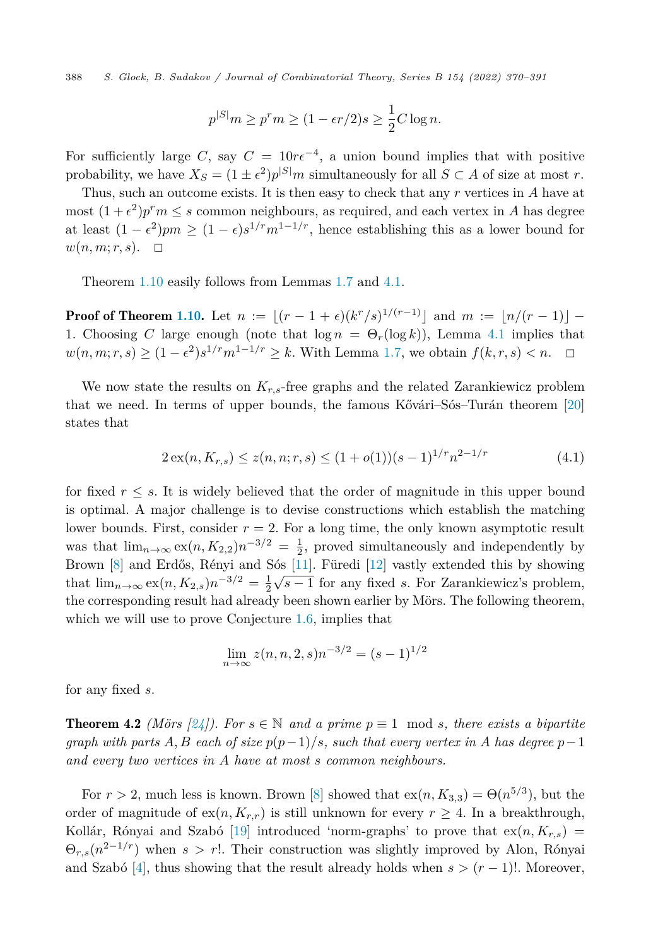<span id="page-18-0"></span>388 *S. Glock, B. Sudakov / Journal of Combinatorial Theory, Series B 154 (2022) 370–391*

$$
p^{|S|}m \ge p^r m \ge (1 - \epsilon r/2)s \ge \frac{1}{2}C \log n.
$$

For sufficiently large *C*, say  $C = 10r\epsilon^{-4}$ , a union bound implies that with positive probability, we have  $X_S = (1 \pm \epsilon^2)p^{|S|}m$  simultaneously for all  $S \subset A$  of size at most *r*.

Thus, such an outcome exists. It is then easy to check that any *r* vertices in *A* have at most  $(1+\epsilon^2)p^r m \leq s$  common neighbours, as required, and each vertex in *A* has degree at least  $(1 - \epsilon^2)pm \ge (1 - \epsilon)s^{1/r}m^{1-1/r}$ , hence establishing this as a lower bound for  $w(n, m; r, s)$ .  $\Box$ 

Theorem [1.10](#page-6-0) easily follows from Lemmas [1.7](#page-5-0) and [4.1](#page-17-0).

**Proof of Theorem [1.10.](#page-6-0)** Let  $n := \lfloor (r - 1 + \epsilon)(k^r/s)^{1/(r-1)} \rfloor$  and  $m := \lfloor n/(r-1) \rfloor$ 1. Choosing *C* large enough (note that  $\log n = \Theta_r(\log k)$ ), Lemma [4.1](#page-17-0) implies that  $w(n, m; r, s) \ge (1 - \epsilon^2) s^{1/r} m^{1 - 1/r} \ge k$ . With Lemma [1.7,](#page-5-0) we obtain  $f(k, r, s) < n$ . □  $\Box$ 

We now state the results on  $K_{r,s}$ -free graphs and the related Zarankiewicz problem that we need. In terms of upper bounds, the famous Kővári–Sós–Turán theorem [[20\]](#page-21-0) states that

$$
2\operatorname{ex}(n, K_{r,s}) \le z(n, n; r, s) \le (1 + o(1))(s - 1)^{1/r} n^{2 - 1/r} \tag{4.1}
$$

for fixed  $r \leq s$ . It is widely believed that the order of magnitude in this upper bound is optimal. A major challenge is to devise constructions which establish the matching lower bounds. First, consider  $r = 2$ . For a long time, the only known asymptotic result was that  $\lim_{n\to\infty} \exp(n, K_{2,2})n^{-3/2} = \frac{1}{2}$ , proved simultaneously and independently by Brown [\[8](#page-21-0)] and Erdős, Rényi and Sós [[11\]](#page-21-0). Füredi [[12\]](#page-21-0) vastly extended this by showing that  $\lim_{n\to\infty} \exp(n, K_{2,s})n^{-3/2} = \frac{1}{2}\sqrt{s-1}$  for any fixed *s*. For Zarankiewicz's problem, the corresponding result had already been shown earlier by Mörs. The following theorem, which we will use to prove Conjecture [1.6](#page-5-0), implies that

$$
\lim_{n \to \infty} z(n, n, 2, s) n^{-3/2} = (s - 1)^{1/2}
$$

for any fixed *s*.

**Theorem 4.2** *(Mörs [\[24](#page-21-0)]). For*  $s \in \mathbb{N}$  *and a prime*  $p \equiv 1 \mod s$ , *there exists a bipartite* graph with parts A, B each of size  $p(p-1)/s$ , such that every vertex in A has degree  $p-1$ *and every two vertices in A have at most s common neighbours.*

For  $r > 2$ , much less is known. Brown [\[8](#page-21-0)] showed that  $ex(n, K_{3,3}) = \Theta(n^{5/3})$ , but the order of magnitude of  $ex(n, K_{r,r})$  is still unknown for every  $r \geq 4$ . In a breakthrough, Kollár, Rónyai and Szabó [\[19\]](#page-21-0) introduced 'norm-graphs' to prove that  $ex(n, K_{r,s})$  =  $\Theta_{r,s}(n^{2-1/r})$  when  $s > r!$ . Their construction was slightly improved by Alon, Rónyai and Szabó [\[4\]](#page-20-0), thus showing that the result already holds when  $s > (r - 1)!$ . Moreover,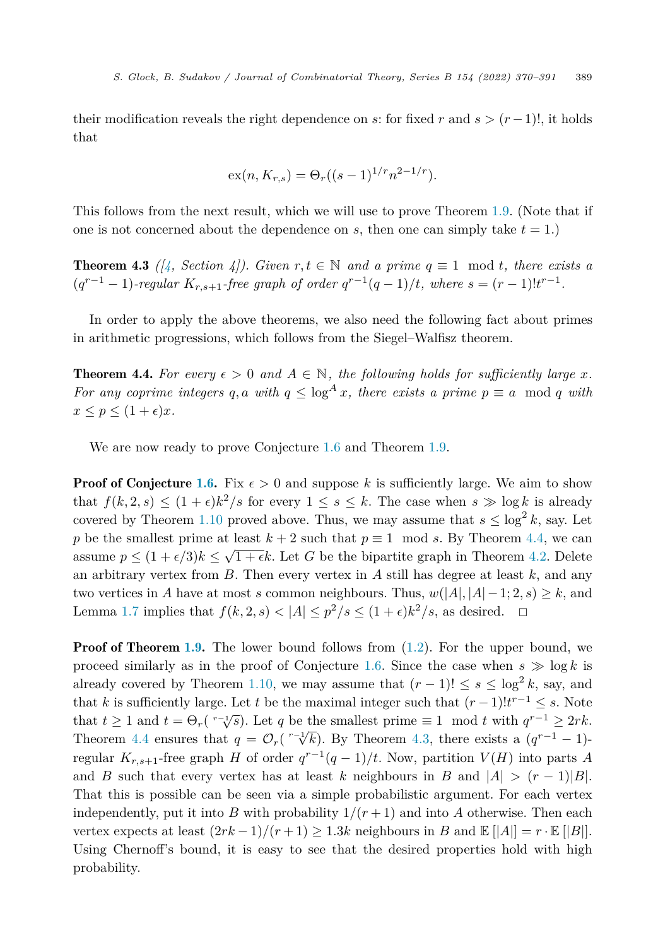their modification reveals the right dependence on *s*: for fixed *r* and  $s > (r-1)!$ , it holds that

$$
ex(n, K_{r,s}) = \Theta_r((s-1)^{1/r} n^{2-1/r}).
$$

This follows from the next result, which we will use to prove Theorem [1.9.](#page-6-0) (Note that if one is not concerned about the dependence on  $s$ , then one can simply take  $t = 1$ .)

**Theorem 4.3**  $(\n\begin{bmatrix}\n\frac{1}{2} & \text{Section 4}\n\end{bmatrix}$ . Given  $r, t \in \mathbb{N}$  and a prime  $q \equiv 1 \mod t$ , there exists a  $(q^{r-1}-1)$ -regular  $K_{r,s+1}$ -free graph of order  $q^{r-1}(q-1)/t$ , where  $s = (r-1)!t^{r-1}$ .

In order to apply the above theorems, we also need the following fact about primes in arithmetic progressions, which follows from the Siegel–Walfisz theorem.

**Theorem 4.4.** For every  $\epsilon > 0$  and  $A \in \mathbb{N}$ , the following holds for sufficiently large x. *For* any coprime integers q, a with  $q \leq \log^A x$ , there exists a prime  $p \equiv a \mod q$  with  $x \leq p \leq (1+\epsilon)x$ .

We are now ready to prove Conjecture [1.6](#page-5-0) and Theorem [1.9](#page-6-0).

**Proof of Conjecture [1.6](#page-5-0).** Fix  $\epsilon > 0$  and suppose k is sufficiently large. We aim to show that  $f(k, 2, s) \leq (1 + \epsilon)k^2/s$  for every  $1 \leq s \leq k$ . The case when  $s \gg \log k$  is already covered by Theorem [1.10](#page-6-0) proved above. Thus, we may assume that  $s \leq \log^2 k$ , say. Let *p* be the smallest prime at least  $k + 2$  such that  $p \equiv 1 \mod s$ . By Theorem 4.4, we can assume  $p \leq (1 + \epsilon/3)k \leq \sqrt{1 + \epsilon}k$ . Let *G* be the bipartite graph in Theorem [4.2](#page-18-0). Delete an arbitrary vertex from *B*. Then every vertex in *A* still has degree at least *k*, and any two vertices in *A* have at most *s* common neighbours. Thus,  $w(|A|, |A| - 1; 2, s) \geq k$ , and Lemma [1.7](#page-5-0) implies that  $f(k, 2, s) < |A| \leq p^2/s \leq (1 + \epsilon)k^2/s$ , as desired.  $\Box$ 

**Proof of Theorem [1.9](#page-6-0).** The lower bound follows from  $(1.2)$ . For the upper bound, we proceed similarly as in the proof of Conjecture [1.6.](#page-5-0) Since the case when  $s \gg \log k$  is already covered by Theorem [1.10](#page-6-0), we may assume that  $(r-1)! \leq s \leq \log^2 k$ , say, and that *k* is sufficiently large. Let *t* be the maximal integer such that  $(r-1)!t^{r-1} \leq s$ . Note that  $t \geq 1$  and  $t = \Theta_r(\sqrt[r-1]{s})$ . Let *q* be the smallest prime  $\equiv 1 \mod t$  with  $q^{r-1} \geq 2rk$ . Theorem 4.4 ensures that  $q = \mathcal{O}_r(\sqrt[r-1]{k})$ . By Theorem 4.3, there exists a  $(q^{r-1}-1)$ regular  $K_{r,s+1}$ -free graph *H* of order  $q^{r-1}(q-1)/t$ . Now, partition  $V(H)$  into parts *A* and *B* such that every vertex has at least *k* neighbours in *B* and  $|A| > (r - 1)|B|$ . That this is possible can be seen via a simple probabilistic argument. For each vertex independently, put it into *B* with probability  $1/(r+1)$  and into *A* otherwise. Then each vertex expects at least  $(2rk - 1)/(r + 1) \geq 1.3k$  neighbours in *B* and  $\mathbb{E} [A] = r \cdot \mathbb{E} [B]$ . Using Chernoff's bound, it is easy to see that the desired properties hold with high probability.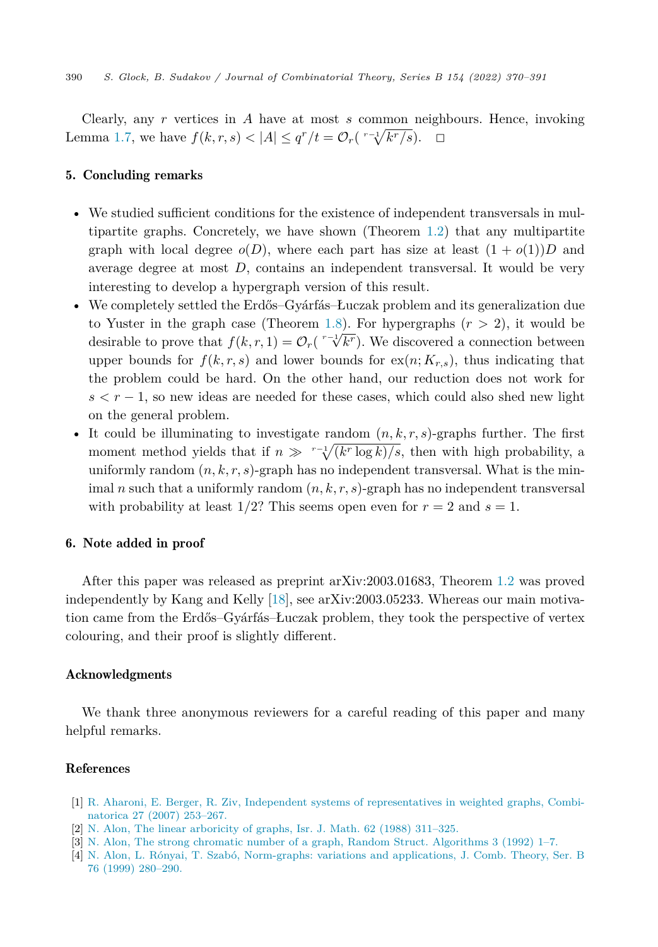<span id="page-20-0"></span>Clearly, any *r* vertices in *A* have at most *s* common neighbours. Hence, invoking Lemma [1.7](#page-5-0), we have  $f(k, r, s) < |A| \leq q^r/t = \mathcal{O}_r(\sqrt[r-1]{k^r/s})$ . □

# 5. Concluding remarks

- We studied sufficient conditions for the existence of independent transversals in multipartite graphs. Concretely, we have shown (Theorem [1.2\)](#page-2-0) that any multipartite graph with local degree  $o(D)$ , where each part has size at least  $(1 + o(1))D$  and average degree at most *D*, contains an independent transversal. It would be very interesting to develop a hypergraph version of this result.
- We completely settled the Erdős–Gyárfás–Łuczak problem and its generalization due to Yuster in the graph case (Theorem [1.8\)](#page-5-0). For hypergraphs (*r >* 2), it would be desirable to prove that  $f(k, r, 1) = \mathcal{O}_r(\sqrt[r-1]{k^r})$ . We discovered a connection between upper bounds for  $f(k, r, s)$  and lower bounds for  $ex(n; K_{r,s})$ , thus indicating that the problem could be hard. On the other hand, our reduction does not work for  $s < r - 1$ , so new ideas are needed for these cases, which could also shed new light on the general problem.
- It could be illuminating to investigate random  $(n, k, r, s)$ -graphs further. The first moment method yields that if  $n \gg r^{-1} \sqrt{k r \log k} / s$ , then with high probability, a uniformly random  $(n, k, r, s)$ -graph has no independent transversal. What is the minimal *n* such that a uniformly random  $(n, k, r, s)$ -graph has no independent transversal with probability at least  $1/2$ ? This seems open even for  $r = 2$  and  $s = 1$ .

## 6. Note added in proof

After this paper was released as preprint arXiv:2003.01683, Theorem [1.2](#page-2-0) was proved independently by Kang and Kelly [[18\]](#page-21-0), see arXiv:2003.05233. Whereas our main motivation came from the Erdős–Gyárfás–Łuczak problem, they took the perspective of vertex colouring, and their proof is slightly different.

# Acknowledgments

We thank three anonymous reviewers for a careful reading of this paper and many helpful remarks.

#### References

- [1] R. Aharoni, E. Berger, R. Ziv, Independent systems of [representatives](http://refhub.elsevier.com/S0095-8956(22)00005-3/bib14D2777B889C6EFD4C0FC1DC7A007F08s1) in weighted graphs, Combinatorica 27 (2007) [253–267.](http://refhub.elsevier.com/S0095-8956(22)00005-3/bib14D2777B889C6EFD4C0FC1DC7A007F08s1)
- [2] N. Alon, The linear [arboricity](http://refhub.elsevier.com/S0095-8956(22)00005-3/bib0F1F627902FFD99A804A833C5D0178E1s1) of graphs, Isr. J. Math. 62 (1988) 311–325.
- [3] N. Alon, The strong chromatic number of a graph, Random Struct. [Algorithms](http://refhub.elsevier.com/S0095-8956(22)00005-3/bib2E90AC7DD3A6BE5CD2B29DE086C337D1s1) 3 (1992) 1–7.
- [4] N. Alon, L. Rónyai, T. Szabó, [Norm-graphs:](http://refhub.elsevier.com/S0095-8956(22)00005-3/bib575C0E188C60161E332F7BF8D60E1262s1) variations and applications, J. Comb. Theory, Ser. B 76 (1999) [280–290.](http://refhub.elsevier.com/S0095-8956(22)00005-3/bib575C0E188C60161E332F7BF8D60E1262s1)